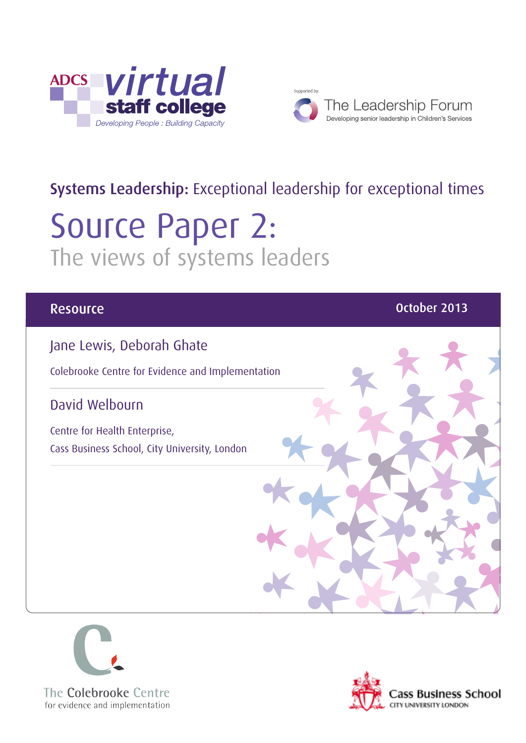



## Systems Leadership: Exceptional leadership for exceptional times

# Source Paper 2: The views of systems leaders

### Jane Lewis, Deborah Ghate

Colebrooke Centre for Evidence and Implementation

### David Welbourn

Centre for Health Enterprise, Cass Business School, City University, London





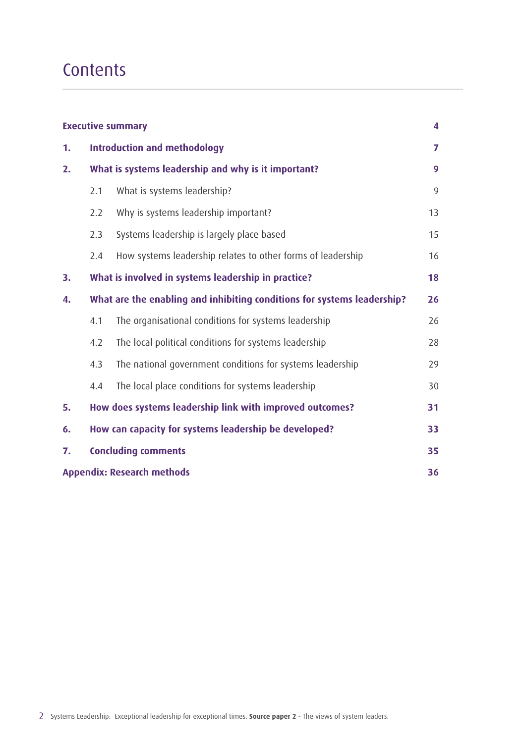## **Contents**

| <b>Executive summary</b><br>4           |                                                                         |                                                             |    |  |
|-----------------------------------------|-------------------------------------------------------------------------|-------------------------------------------------------------|----|--|
| 1.                                      | <b>Introduction and methodology</b>                                     |                                                             |    |  |
| 2.                                      | What is systems leadership and why is it important?                     |                                                             | 9  |  |
|                                         | 2.1                                                                     | What is systems leadership?                                 | 9  |  |
|                                         | 2.2                                                                     | Why is systems leadership important?                        | 13 |  |
|                                         | 2.3                                                                     | Systems leadership is largely place based                   | 15 |  |
|                                         | 2.4                                                                     | How systems leadership relates to other forms of leadership | 16 |  |
| 3.                                      |                                                                         | What is involved in systems leadership in practice?         | 18 |  |
| 4.                                      | What are the enabling and inhibiting conditions for systems leadership? |                                                             | 26 |  |
|                                         | 4.1                                                                     | The organisational conditions for systems leadership        | 26 |  |
|                                         | 4.2                                                                     | The local political conditions for systems leadership       | 28 |  |
|                                         | 4.3                                                                     | The national government conditions for systems leadership   | 29 |  |
|                                         | 4.4                                                                     | The local place conditions for systems leadership           | 30 |  |
| 5.                                      | How does systems leadership link with improved outcomes?<br>31          |                                                             |    |  |
| 6.                                      | How can capacity for systems leadership be developed?                   |                                                             |    |  |
| 7.                                      | <b>Concluding comments</b>                                              |                                                             |    |  |
| <b>Appendix: Research methods</b><br>36 |                                                                         |                                                             |    |  |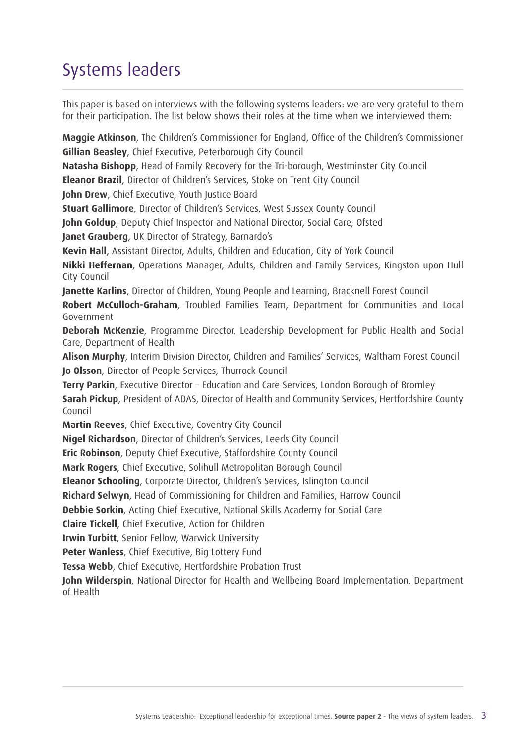## Systems leaders

This paper is based on interviews with the following systems leaders: we are very grateful to them for their participation. The list below shows their roles at the time when we interviewed them:

**Maggie Atkinson**, The Children's Commissioner for England, Office of the Children's Commissioner **Gillian Beasley**, Chief Executive, Peterborough City Council

**Natasha Bishopp**, Head of Family Recovery for the Tri-borough, Westminster City Council

**Eleanor Brazil**, Director of Children's Services, Stoke on Trent City Council

**John Drew, Chief Executive, Youth Justice Board** 

**Stuart Gallimore**, Director of Children's Services, West Sussex County Council

**John Goldup**, Deputy Chief Inspector and National Director, Social Care, Ofsted

**Janet Grauberg**, UK Director of Strategy, Barnardo's

**Kevin Hall**, Assistant Director, Adults, Children and Education, City of York Council

**Nikki Heffernan**, Operations Manager, Adults, Children and Family Services, Kingston upon Hull City Council

**Janette Karlins**, Director of Children, Young People and Learning, Bracknell Forest Council

**Robert McCulloch-Graham**, Troubled Families Team, Department for Communities and Local Government

**Deborah McKenzie**, Programme Director, Leadership Development for Public Health and Social Care, Department of Health

**Alison Murphy**, Interim Division Director, Children and Families' Services, Waltham Forest Council **Jo Olsson**, Director of People Services, Thurrock Council

**Terry Parkin**, Executive Director – Education and Care Services, London Borough of Bromley

**Sarah Pickup**, President of ADAS, Director of Health and Community Services, Hertfordshire County Council

**Martin Reeves**, Chief Executive, Coventry City Council

**Nigel Richardson**, Director of Children's Services, Leeds City Council

**Eric Robinson**, Deputy Chief Executive, Staffordshire County Council

**Mark Rogers**, Chief Executive, Solihull Metropolitan Borough Council

**Eleanor Schooling**, Corporate Director, Children's Services, Islington Council

**Richard Selwyn**, Head of Commissioning for Children and Families, Harrow Council

**Debbie Sorkin**, Acting Chief Executive, National Skills Academy for Social Care

**Claire Tickell**, Chief Executive, Action for Children

**Irwin Turbitt**, Senior Fellow, Warwick University

**Peter Wanless**, Chief Executive, Big Lottery Fund

**Tessa Webb**, Chief Executive, Hertfordshire Probation Trust

**John Wilderspin**, National Director for Health and Wellbeing Board Implementation, Department of Health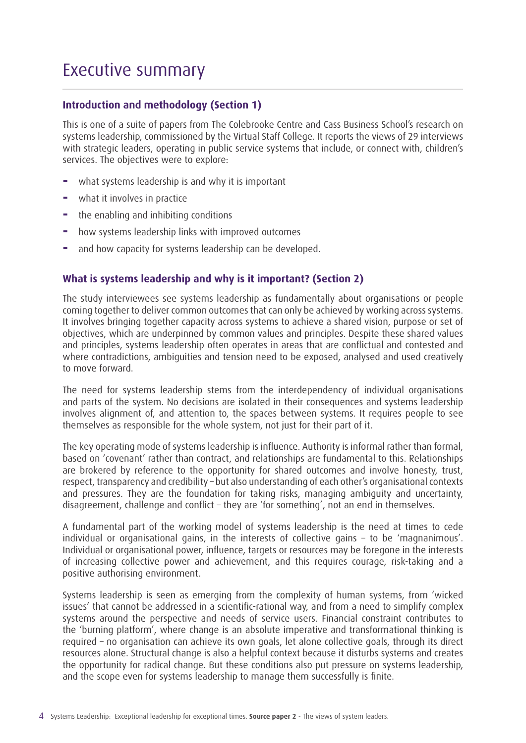### Executive summary

#### **Introduction and methodology (Section 1)**

This is one of a suite of papers from The Colebrooke Centre and Cass Business School's research on systems leadership, commissioned by the Virtual Staff College. It reports the views of 29 interviews with strategic leaders, operating in public service systems that include, or connect with, children's services. The objectives were to explore:

- **−** what systems leadership is and why it is important
- **−** what it involves in practice
- **−** the enabling and inhibiting conditions
- **−** how systems leadership links with improved outcomes
- **−** and how capacity for systems leadership can be developed.

#### **What is systems leadership and why is it important? (Section 2)**

The study interviewees see systems leadership as fundamentally about organisations or people coming together to deliver common outcomes that can only be achieved by working across systems. It involves bringing together capacity across systems to achieve a shared vision, purpose or set of objectives, which are underpinned by common values and principles. Despite these shared values and principles, systems leadership often operates in areas that are conflictual and contested and where contradictions, ambiguities and tension need to be exposed, analysed and used creatively to move forward.

The need for systems leadership stems from the interdependency of individual organisations and parts of the system. No decisions are isolated in their consequences and systems leadership involves alignment of, and attention to, the spaces between systems. It requires people to see themselves as responsible for the whole system, not just for their part of it.

The key operating mode of systems leadership is influence. Authority is informal rather than formal, based on 'covenant' rather than contract, and relationships are fundamental to this. Relationships are brokered by reference to the opportunity for shared outcomes and involve honesty, trust, respect, transparency and credibility – but also understanding of each other's organisational contexts and pressures. They are the foundation for taking risks, managing ambiguity and uncertainty, disagreement, challenge and conflict – they are 'for something', not an end in themselves.

A fundamental part of the working model of systems leadership is the need at times to cede individual or organisational gains, in the interests of collective gains – to be 'magnanimous'. Individual or organisational power, influence, targets or resources may be foregone in the interests of increasing collective power and achievement, and this requires courage, risk-taking and a positive authorising environment.

Systems leadership is seen as emerging from the complexity of human systems, from 'wicked issues' that cannot be addressed in a scientific-rational way, and from a need to simplify complex systems around the perspective and needs of service users. Financial constraint contributes to the 'burning platform', where change is an absolute imperative and transformational thinking is required – no organisation can achieve its own goals, let alone collective goals, through its direct resources alone. Structural change is also a helpful context because it disturbs systems and creates the opportunity for radical change. But these conditions also put pressure on systems leadership, and the scope even for systems leadership to manage them successfully is finite.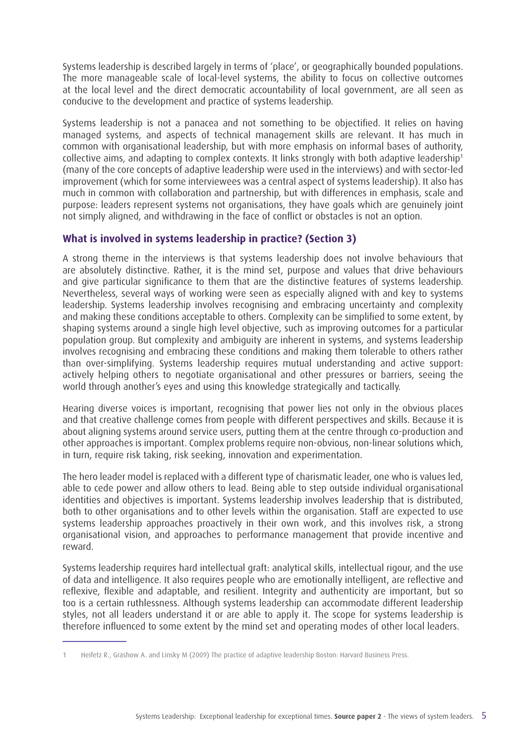Systems leadership is described largely in terms of 'place', or geographically bounded populations. The more manageable scale of local-level systems, the ability to focus on collective outcomes at the local level and the direct democratic accountability of local government, are all seen as conducive to the development and practice of systems leadership.

Systems leadership is not a panacea and not something to be objectified. It relies on having managed systems, and aspects of technical management skills are relevant. It has much in common with organisational leadership, but with more emphasis on informal bases of authority, collective aims, and adapting to complex contexts. It links strongly with both adaptive leadership<sup>1</sup> (many of the core concepts of adaptive leadership were used in the interviews) and with sector-led improvement (which for some interviewees was a central aspect of systems leadership). It also has much in common with collaboration and partnership, but with differences in emphasis, scale and purpose: leaders represent systems not organisations, they have goals which are genuinely joint not simply aligned, and withdrawing in the face of conflict or obstacles is not an option.

#### **What is involved in systems leadership in practice? (Section 3)**

A strong theme in the interviews is that systems leadership does not involve behaviours that are absolutely distinctive. Rather, it is the mind set, purpose and values that drive behaviours and give particular significance to them that are the distinctive features of systems leadership. Nevertheless, several ways of working were seen as especially aligned with and key to systems leadership. Systems leadership involves recognising and embracing uncertainty and complexity and making these conditions acceptable to others. Complexity can be simplified to some extent, by shaping systems around a single high level objective, such as improving outcomes for a particular population group. But complexity and ambiguity are inherent in systems, and systems leadership involves recognising and embracing these conditions and making them tolerable to others rather than over-simplifying. Systems leadership requires mutual understanding and active support: actively helping others to negotiate organisational and other pressures or barriers, seeing the world through another's eyes and using this knowledge strategically and tactically.

Hearing diverse voices is important, recognising that power lies not only in the obvious places and that creative challenge comes from people with different perspectives and skills. Because it is about aligning systems around service users, putting them at the centre through co-production and other approaches is important. Complex problems require non-obvious, non-linear solutions which, in turn, require risk taking, risk seeking, innovation and experimentation.

The hero leader model is replaced with a different type of charismatic leader, one who is values led, able to cede power and allow others to lead. Being able to step outside individual organisational identities and objectives is important. Systems leadership involves leadership that is distributed, both to other organisations and to other levels within the organisation. Staff are expected to use systems leadership approaches proactively in their own work, and this involves risk, a strong organisational vision, and approaches to performance management that provide incentive and reward.

Systems leadership requires hard intellectual graft: analytical skills, intellectual rigour, and the use of data and intelligence. It also requires people who are emotionally intelligent, are reflective and reflexive, flexible and adaptable, and resilient. Integrity and authenticity are important, but so too is a certain ruthlessness. Although systems leadership can accommodate different leadership styles, not all leaders understand it or are able to apply it. The scope for systems leadership is therefore influenced to some extent by the mind set and operating modes of other local leaders.

<sup>1</sup> Heifetz R., Grashow A. and Linsky M (2009) The practice of adaptive leadership Boston: Harvard Business Press.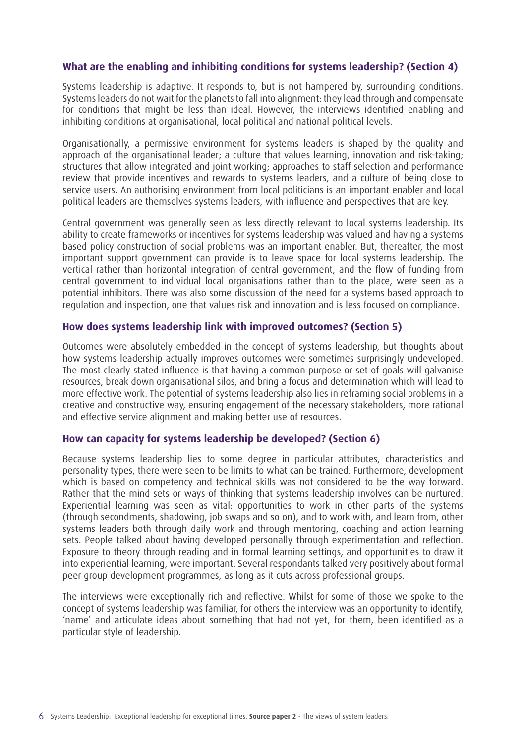#### **What are the enabling and inhibiting conditions for systems leadership? (Section 4)**

Systems leadership is adaptive. It responds to, but is not hampered by, surrounding conditions. Systems leaders do not wait for the planets to fall into alignment: they lead through and compensate for conditions that might be less than ideal. However, the interviews identified enabling and inhibiting conditions at organisational, local political and national political levels.

Organisationally, a permissive environment for systems leaders is shaped by the quality and approach of the organisational leader; a culture that values learning, innovation and risk-taking; structures that allow integrated and joint working; approaches to staff selection and performance review that provide incentives and rewards to systems leaders, and a culture of being close to service users. An authorising environment from local politicians is an important enabler and local political leaders are themselves systems leaders, with influence and perspectives that are key.

Central government was generally seen as less directly relevant to local systems leadership. Its ability to create frameworks or incentives for systems leadership was valued and having a systems based policy construction of social problems was an important enabler. But, thereafter, the most important support government can provide is to leave space for local systems leadership. The vertical rather than horizontal integration of central government, and the flow of funding from central government to individual local organisations rather than to the place, were seen as a potential inhibitors. There was also some discussion of the need for a systems based approach to regulation and inspection, one that values risk and innovation and is less focused on compliance.

#### **How does systems leadership link with improved outcomes? (Section 5)**

Outcomes were absolutely embedded in the concept of systems leadership, but thoughts about how systems leadership actually improves outcomes were sometimes surprisingly undeveloped. The most clearly stated influence is that having a common purpose or set of goals will galvanise resources, break down organisational silos, and bring a focus and determination which will lead to more effective work. The potential of systems leadership also lies in reframing social problems in a creative and constructive way, ensuring engagement of the necessary stakeholders, more rational and effective service alignment and making better use of resources.

#### **How can capacity for systems leadership be developed? (Section 6)**

Because systems leadership lies to some degree in particular attributes, characteristics and personality types, there were seen to be limits to what can be trained. Furthermore, development which is based on competency and technical skills was not considered to be the way forward. Rather that the mind sets or ways of thinking that systems leadership involves can be nurtured. Experiential learning was seen as vital: opportunities to work in other parts of the systems (through secondments, shadowing, job swaps and so on), and to work with, and learn from, other systems leaders both through daily work and through mentoring, coaching and action learning sets. People talked about having developed personally through experimentation and reflection. Exposure to theory through reading and in formal learning settings, and opportunities to draw it into experiential learning, were important. Several respondants talked very positively about formal peer group development programmes, as long as it cuts across professional groups.

The interviews were exceptionally rich and reflective. Whilst for some of those we spoke to the concept of systems leadership was familiar, for others the interview was an opportunity to identify, 'name' and articulate ideas about something that had not yet, for them, been identified as a particular style of leadership.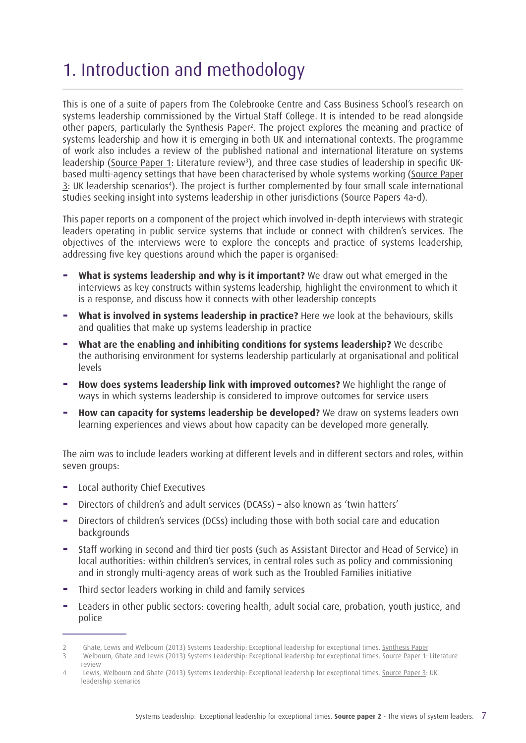## 1. Introduction and methodology

This is one of a suite of papers from The Colebrooke Centre and Cass Business School's research on systems leadership commissioned by the Virtual Staff College. It is intended to be read alongside other papers, particularly the [Synthesis Paper](http://www.virtualstaffcollege.co.uk/wp-content/uploads/VSC_Synthesis_complete.pdf)<sup>2</sup>. The project explores the meaning and practice of systems leadership and how it is emerging in both UK and international contexts. The programme of work also includes a review of the published national and international literature on systems leadership ([Source Paper 1](http://www.virtualstaffcollege.co.uk/wp-content/uploads/literature_review_complete.pdf): Literature review<sup>3</sup>), and three case studies of leadership in specific UKbased multi-agency settings that have been characterised by whole systems working ([Source Paper](http://www.virtualstaffcollege.co.uk/wp-content/uploads/leadership_scenarios_complete.pdf)  $\overline{3}$ : UK leadership scenarios<sup>4</sup>). The project is further complemented by four small scale international studies seeking insight into systems leadership in other jurisdictions (Source Papers 4a-d).

This paper reports on a component of the project which involved in-depth interviews with strategic leaders operating in public service systems that include or connect with children's services. The objectives of the interviews were to explore the concepts and practice of systems leadership, addressing five key questions around which the paper is organised:

- **What is systems leadership and why is it important?** We draw out what emerged in the interviews as key constructs within systems leadership, highlight the environment to which it is a response, and discuss how it connects with other leadership concepts
- **What is involved in systems leadership in practice?** Here we look at the behaviours, skills and qualities that make up systems leadership in practice
- **− What are the enabling and inhibiting conditions for systems leadership?** We describe the authorising environment for systems leadership particularly at organisational and political levels
- **+ How does systems leadership link with improved outcomes? We highlight the range of** ways in which systems leadership is considered to improve outcomes for service users
- **− How can capacity for systems leadership be developed?** We draw on systems leaders own learning experiences and views about how capacity can be developed more generally.

The aim was to include leaders working at different levels and in different sectors and roles, within seven groups:

- **−** Local authority Chief Executives
- Directors of children's and adult services (DCASs) also known as 'twin hatters'
- **−** Directors of children's services (DCSs) including those with both social care and education backgrounds
- **−** Staff working in second and third tier posts (such as Assistant Director and Head of Service) in local authorities: within children's services, in central roles such as policy and commissioning and in strongly multi-agency areas of work such as the Troubled Families initiative
- **−** Third sector leaders working in child and family services
- **−** Leaders in other public sectors: covering health, adult social care, probation, youth justice, and police

<sup>2</sup> Ghate, Lewis and Welbourn (2013) Systems Leadership: Exceptional leadership for exceptional times. [Synthesis Paper](http://www.virtualstaffcollege.co.uk/wp-content/uploads/VSC_Synthesis_complete.pdf)

<sup>3</sup> Welbourn, Ghate and Lewis (2013) Systems Leadership: Exceptional leadership for exceptional times. [Source Paper 1](http://www.virtualstaffcollege.co.uk/wp-content/uploads/literature_review_complete.pdf): Literature review

<sup>4</sup> Lewis, Welbourn and Ghate (2013) Systems Leadership: Exceptional leadership for exceptional times. [Source Paper 3](http://www.virtualstaffcollege.co.uk/wp-content/uploads/leadership_scenarios_complete.pdf): UK leadership scenarios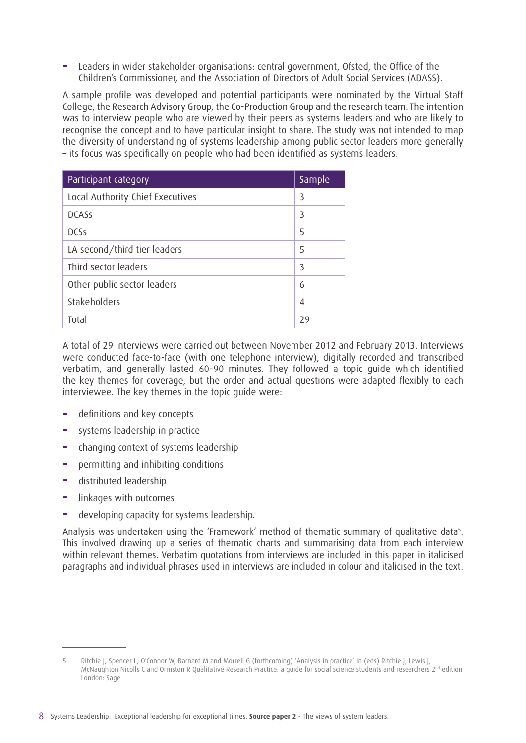**−** Leaders in wider stakeholder organisations: central government, Ofsted, the Office of the Children's Commissioner, and the Association of Directors of Adult Social Services (ADASS).

A sample profile was developed and potential participants were nominated by the Virtual Staff College, the Research Advisory Group, the Co-Production Group and the research team. The intention was to interview people who are viewed by their peers as systems leaders and who are likely to recognise the concept and to have particular insight to share. The study was not intended to map the diversity of understanding of systems leadership among public sector leaders more generally – its focus was specifically on people who had been identified as systems leaders.

| Participant category             | Sample |
|----------------------------------|--------|
| Local Authority Chief Executives | 3      |
| <b>DCASS</b>                     | 3      |
| <b>DCSs</b>                      | 5      |
| LA second/third tier leaders     | 5      |
| Third sector leaders             | 3      |
| Other public sector leaders      | 6      |
| Stakeholders                     | 4      |
| Total                            | 29     |

A total of 29 interviews were carried out between November 2012 and February 2013. Interviews were conducted face-to-face (with one telephone interview), digitally recorded and transcribed verbatim, and generally lasted 60-90 minutes. They followed a topic guide which identified the key themes for coverage, but the order and actual questions were adapted flexibly to each interviewee. The key themes in the topic guide were:

- **−** definitions and key concepts
- **−** systems leadership in practice
- **−** changing context of systems leadership
- **−** permitting and inhibiting conditions
- **−** distributed leadership
- **−** linkages with outcomes
- **−** developing capacity for systems leadership.

Analysis was undertaken using the 'Framework' method of thematic summary of qualitative data<sup>5</sup>. This involved drawing up a series of thematic charts and summarising data from each interview within relevant themes. Verbatim quotations from interviews are included in this paper in italicised paragraphs and individual phrases used in interviews are included in colour and italicised in the text.

<sup>5</sup> Ritchie J, Spencer L, O'Connor W, Barnard M and Morrell G (forthcoming) 'Analysis in practice' in (eds) Ritchie J, Lewis J, McNaughton Nicolls C and Ormston R Qualitative Research Practice: a guide for social science students and researchers 2<sup>nd</sup> edition London: Sage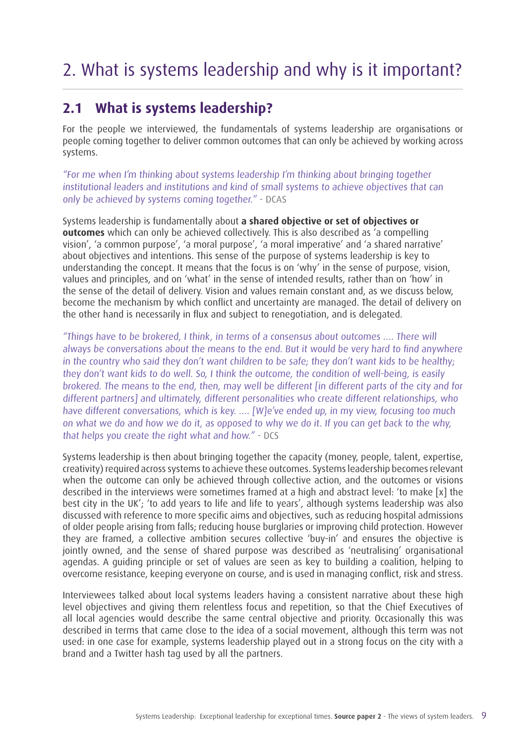## 2. What is systems leadership and why is it important?

### **2.1 What is systems leadership?**

For the people we interviewed, the fundamentals of systems leadership are organisations or people coming together to deliver common outcomes that can only be achieved by working across systems.

"For me when I'm thinking about systems leadership I'm thinking about bringing together institutional leaders and institutions and kind of small systems to achieve objectives that can only be achieved by systems coming together." - DCAS

Systems leadership is fundamentally about **a shared objective or set of objectives or outcomes** which can only be achieved collectively. This is also described as 'a compelling vision', 'a common purpose', 'a moral purpose', 'a moral imperative' and 'a shared narrative' about objectives and intentions. This sense of the purpose of systems leadership is key to understanding the concept. It means that the focus is on 'why' in the sense of purpose, vision, values and principles, and on 'what' in the sense of intended results, rather than on 'how' in the sense of the detail of delivery. Vision and values remain constant and, as we discuss below, become the mechanism by which conflict and uncertainty are managed. The detail of delivery on the other hand is necessarily in flux and subject to renegotiation, and is delegated.

"Things have to be brokered, I think, in terms of a consensus about outcomes …. There will always be conversations about the means to the end. But it would be very hard to find anywhere in the country who said they don't want children to be safe; they don't want kids to be healthy; they don't want kids to do well. So, I think the outcome, the condition of well-being, is easily brokered. The means to the end, then, may well be different [in different parts of the city and for different partners] and ultimately, different personalities who create different relationships, who have different conversations, which is key. …. [W]e've ended up, in my view, focusing too much on what we do and how we do it, as opposed to why we do it. If you can get back to the why, that helps you create the right what and how." - DCS

Systems leadership is then about bringing together the capacity (money, people, talent, expertise, creativity) required across systems to achieve these outcomes. Systems leadership becomes relevant when the outcome can only be achieved through collective action, and the outcomes or visions described in the interviews were sometimes framed at a high and abstract level: 'to make [x] the best city in the UK'; 'to add years to life and life to years', although systems leadership was also discussed with reference to more specific aims and objectives, such as reducing hospital admissions of older people arising from falls; reducing house burglaries or improving child protection. However they are framed, a collective ambition secures collective 'buy-in' and ensures the objective is jointly owned, and the sense of shared purpose was described as 'neutralising' organisational agendas. A guiding principle or set of values are seen as key to building a coalition, helping to overcome resistance, keeping everyone on course, and is used in managing conflict, risk and stress.

Interviewees talked about local systems leaders having a consistent narrative about these high level objectives and giving them relentless focus and repetition, so that the Chief Executives of all local agencies would describe the same central objective and priority. Occasionally this was described in terms that came close to the idea of a social movement, although this term was not used: in one case for example, systems leadership played out in a strong focus on the city with a brand and a Twitter hash tag used by all the partners.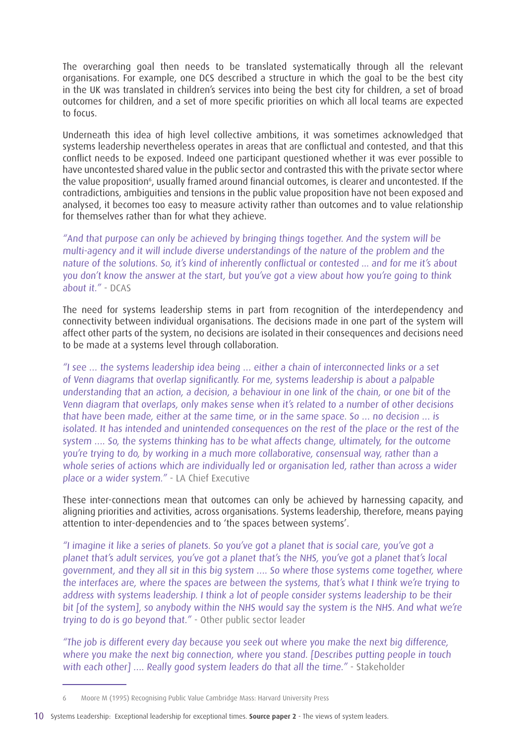The overarching goal then needs to be translated systematically through all the relevant organisations. For example, one DCS described a structure in which the goal to be the best city in the UK was translated in children's services into being the best city for children, a set of broad outcomes for children, and a set of more specific priorities on which all local teams are expected to focus.

Underneath this idea of high level collective ambitions, it was sometimes acknowledged that systems leadership nevertheless operates in areas that are conflictual and contested, and that this conflict needs to be exposed. Indeed one participant questioned whether it was ever possible to have uncontested shared value in the public sector and contrasted this with the private sector where the value proposition<sup>6</sup>, usually framed around financial outcomes, is clearer and uncontested. If the contradictions, ambiguities and tensions in the public value proposition have not been exposed and analysed, it becomes too easy to measure activity rather than outcomes and to value relationship for themselves rather than for what they achieve.

"And that purpose can only be achieved by bringing things together. And the system will be multi-agency and it will include diverse understandings of the nature of the problem and the nature of the solutions. So, it's kind of inherently conflictual or contested ... and for me it's about you don't know the answer at the start, but you've got a view about how you're going to think about it." - DCAS

The need for systems leadership stems in part from recognition of the interdependency and connectivity between individual organisations. The decisions made in one part of the system will affect other parts of the system, no decisions are isolated in their consequences and decisions need to be made at a systems level through collaboration.

"I see … the systems leadership idea being … either a chain of interconnected links or a set of Venn diagrams that overlap significantly. For me, systems leadership is about a palpable understanding that an action, a decision, a behaviour in one link of the chain, or one bit of the Venn diagram that overlaps, only makes sense when it's related to a number of other decisions that have been made, either at the same time, or in the same space. So … no decision … is isolated. It has intended and unintended consequences on the rest of the place or the rest of the system …. So, the systems thinking has to be what affects change, ultimately, for the outcome you're trying to do, by working in a much more collaborative, consensual way, rather than a whole series of actions which are individually led or organisation led, rather than across a wider place or a wider system." - LA Chief Executive

These inter-connections mean that outcomes can only be achieved by harnessing capacity, and aligning priorities and activities, across organisations. Systems leadership, therefore, means paying attention to inter-dependencies and to 'the spaces between systems'.

"I imagine it like a series of planets. So you've got a planet that is social care, you've got a planet that's adult services, you've got a planet that's the NHS, you've got a planet that's local government, and they all sit in this big system …. So where those systems come together, where the interfaces are, where the spaces are between the systems, that's what I think we're trying to address with systems leadership. I think a lot of people consider systems leadership to be their bit [of the system], so anybody within the NHS would say the system is the NHS. And what we're trying to do is go beyond that." - Other public sector leader

"The job is different every day because you seek out where you make the next big difference, where you make the next big connection, where you stand. [Describes putting people in touch with each other] …. Really good system leaders do that all the time." - Stakeholder

<sup>6</sup> Moore M (1995) Recognising Public Value Cambridge Mass: Harvard University Press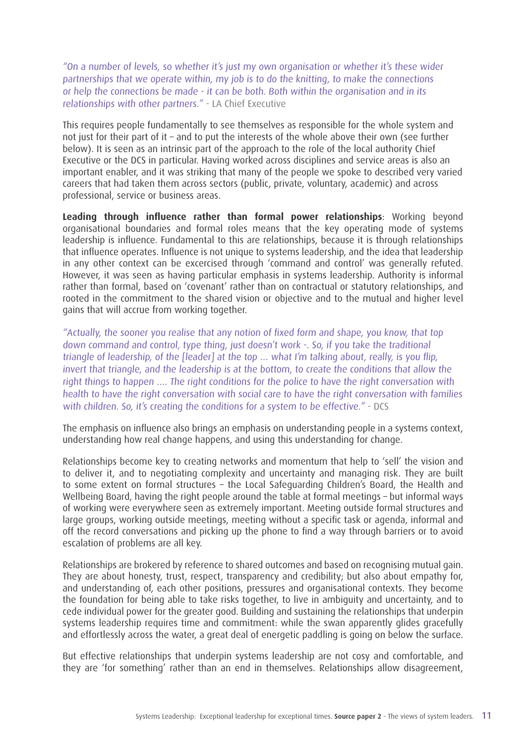"On a number of levels, so whether it's just my own organisation or whether it's these wider partnerships that we operate within, my job is to do the knitting, to make the connections or help the connections be made - it can be both. Both within the organisation and in its relationships with other partners." - LA Chief Executive

This requires people fundamentally to see themselves as responsible for the whole system and not just for their part of it – and to put the interests of the whole above their own (see further below). It is seen as an intrinsic part of the approach to the role of the local authority Chief Executive or the DCS in particular. Having worked across disciplines and service areas is also an important enabler, and it was striking that many of the people we spoke to described very varied careers that had taken them across sectors (public, private, voluntary, academic) and across professional, service or business areas.

**Leading through influence rather than formal power relationships**: Working beyond organisational boundaries and formal roles means that the key operating mode of systems leadership is influence. Fundamental to this are relationships, because it is through relationships that influence operates. Influence is not unique to systems leadership, and the idea that leadership in any other context can be excercised through 'command and control' was generally refuted. However, it was seen as having particular emphasis in systems leadership. Authority is informal rather than formal, based on 'covenant' rather than on contractual or statutory relationships, and rooted in the commitment to the shared vision or objective and to the mutual and higher level gains that will accrue from working together.

"Actually, the sooner you realise that any notion of fixed form and shape, you know, that top down command and control, type thing, just doesn't work -. So, if you take the traditional triangle of leadership, of the [leader] at the top … what I'm talking about, really, is you flip, invert that triangle, and the leadership is at the bottom, to create the conditions that allow the right things to happen .... The right conditions for the police to have the right conversation with health to have the right conversation with social care to have the right conversation with families with children. So, it's creating the conditions for a system to be effective." - DCS

The emphasis on influence also brings an emphasis on understanding people in a systems context, understanding how real change happens, and using this understanding for change.

Relationships become key to creating networks and momentum that help to 'sell' the vision and to deliver it, and to negotiating complexity and uncertainty and managing risk. They are built to some extent on formal structures – the Local Safeguarding Children's Board, the Health and Wellbeing Board, having the right people around the table at formal meetings – but informal ways of working were everywhere seen as extremely important. Meeting outside formal structures and large groups, working outside meetings, meeting without a specific task or agenda, informal and off the record conversations and picking up the phone to find a way through barriers or to avoid escalation of problems are all key.

Relationships are brokered by reference to shared outcomes and based on recognising mutual gain. They are about honesty, trust, respect, transparency and credibility; but also about empathy for, and understanding of, each other positions, pressures and organisational contexts. They become the foundation for being able to take risks together, to live in ambiguity and uncertainty, and to cede individual power for the greater good. Building and sustaining the relationships that underpin systems leadership requires time and commitment: while the swan apparently glides gracefully and effortlessly across the water, a great deal of energetic paddling is going on below the surface.

But effective relationships that underpin systems leadership are not cosy and comfortable, and they are 'for something' rather than an end in themselves. Relationships allow disagreement,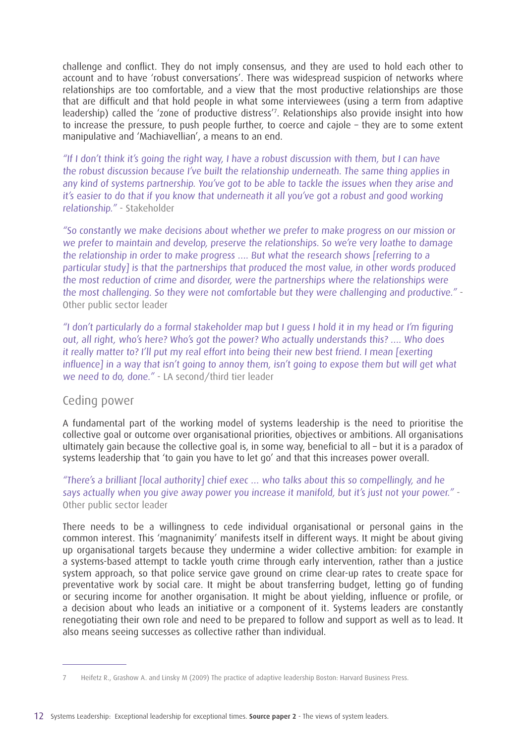challenge and conflict. They do not imply consensus, and they are used to hold each other to account and to have 'robust conversations'. There was widespread suspicion of networks where relationships are too comfortable, and a view that the most productive relationships are those that are difficult and that hold people in what some interviewees (using a term from adaptive leadership) called the 'zone of productive distress'<sup>7</sup>. Relationships also provide insight into how to increase the pressure, to push people further, to coerce and cajole – they are to some extent manipulative and 'Machiavellian', a means to an end.

"If I don't think it's going the right way, I have a robust discussion with them, but I can have the robust discussion because I've built the relationship underneath. The same thing applies in any kind of systems partnership. You've got to be able to tackle the issues when they arise and it's easier to do that if you know that underneath it all you've got a robust and good working relationship." - Stakeholder

"So constantly we make decisions about whether we prefer to make progress on our mission or we prefer to maintain and develop, preserve the relationships. So we're very loathe to damage the relationship in order to make progress …. But what the research shows [referring to a particular study] is that the partnerships that produced the most value, in other words produced the most reduction of crime and disorder, were the partnerships where the relationships were the most challenging. So they were not comfortable but they were challenging and productive." - Other public sector leader

"I don't particularly do a formal stakeholder map but I guess I hold it in my head or I'm figuring out, all right, who's here? Who's got the power? Who actually understands this? …. Who does it really matter to? I'll put my real effort into being their new best friend. I mean [exerting influence] in a way that isn't going to annoy them, isn't going to expose them but will get what we need to do, done." - LA second/third tier leader

#### Ceding power

A fundamental part of the working model of systems leadership is the need to prioritise the collective goal or outcome over organisational priorities, objectives or ambitions. All organisations ultimately gain because the collective goal is, in some way, beneficial to all – but it is a paradox of systems leadership that 'to gain you have to let go' and that this increases power overall.

#### "There's a brilliant [local authority] chief exec … who talks about this so compellingly, and he says actually when you give away power you increase it manifold, but it's just not your power." - Other public sector leader

There needs to be a willingness to cede individual organisational or personal gains in the common interest. This 'magnanimity' manifests itself in different ways. It might be about giving up organisational targets because they undermine a wider collective ambition: for example in a systems-based attempt to tackle youth crime through early intervention, rather than a justice system approach, so that police service gave ground on crime clear-up rates to create space for preventative work by social care. It might be about transferring budget, letting go of funding or securing income for another organisation. It might be about yielding, influence or profile, or a decision about who leads an initiative or a component of it. Systems leaders are constantly renegotiating their own role and need to be prepared to follow and support as well as to lead. It also means seeing successes as collective rather than individual.

<sup>7</sup> Heifetz R., Grashow A. and Linsky M (2009) The practice of adaptive leadership Boston: Harvard Business Press.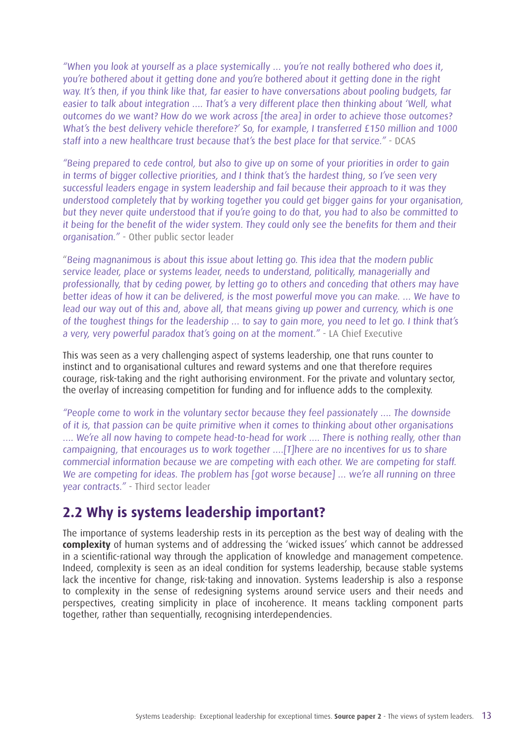"When you look at yourself as a place systemically … you're not really bothered who does it, you're bothered about it getting done and you're bothered about it getting done in the right way. It's then, if you think like that, far easier to have conversations about pooling budgets, far easier to talk about integration …. That's a very different place then thinking about 'Well, what outcomes do we want? How do we work across [the area] in order to achieve those outcomes? What's the best delivery vehicle therefore?' So, for example, I transferred £150 million and 1000 staff into a new healthcare trust because that's the best place for that service." - DCAS

"Being prepared to cede control, but also to give up on some of your priorities in order to gain in terms of bigger collective priorities, and I think that's the hardest thing, so I've seen very successful leaders engage in system leadership and fail because their approach to it was they understood completely that by working together you could get bigger gains for your organisation, but they never quite understood that if you're going to do that, you had to also be committed to it being for the benefit of the wider system. They could only see the benefits for them and their organisation." - Other public sector leader

"Being magnanimous is about this issue about letting go. This idea that the modern public service leader, place or systems leader, needs to understand, politically, managerially and professionally, that by ceding power, by letting go to others and conceding that others may have better ideas of how it can be delivered, is the most powerful move you can make. … We have to lead our way out of this and, above all, that means giving up power and currency, which is one of the toughest things for the leadership … to say to gain more, you need to let go. I think that's a very, very powerful paradox that's going on at the moment." - LA Chief Executive

This was seen as a very challenging aspect of systems leadership, one that runs counter to instinct and to organisational cultures and reward systems and one that therefore requires courage, risk-taking and the right authorising environment. For the private and voluntary sector, the overlay of increasing competition for funding and for influence adds to the complexity.

"People come to work in the voluntary sector because they feel passionately …. The downside of it is, that passion can be quite primitive when it comes to thinking about other organisations …. We're all now having to compete head-to-head for work …. There is nothing really, other than campaigning, that encourages us to work together ….[T]here are no incentives for us to share commercial information because we are competing with each other. We are competing for staff. We are competing for ideas. The problem has [got worse because] ... we're all running on three year contracts." - Third sector leader

### **2.2 Why is systems leadership important?**

The importance of systems leadership rests in its perception as the best way of dealing with the **complexity** of human systems and of addressing the 'wicked issues' which cannot be addressed in a scientific-rational way through the application of knowledge and management competence. Indeed, complexity is seen as an ideal condition for systems leadership, because stable systems lack the incentive for change, risk-taking and innovation. Systems leadership is also a response to complexity in the sense of redesigning systems around service users and their needs and perspectives, creating simplicity in place of incoherence. It means tackling component parts together, rather than sequentially, recognising interdependencies.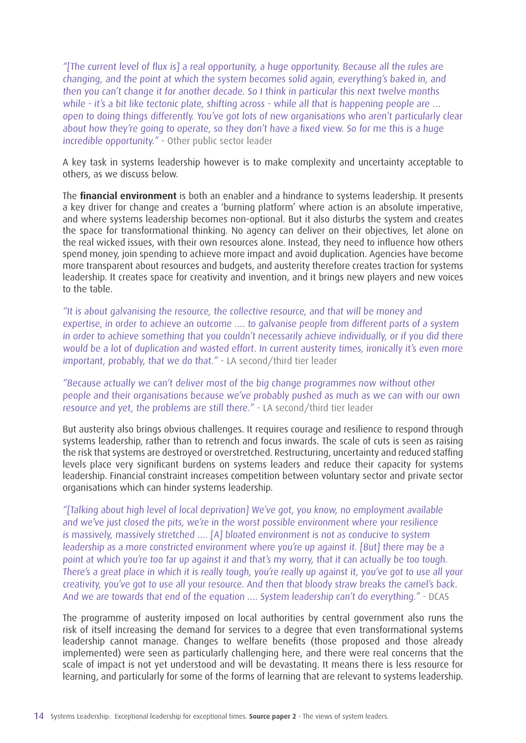"[The current level of flux is] a real opportunity, a huge opportunity. Because all the rules are changing, and the point at which the system becomes solid again, everything's baked in, and then you can't change it for another decade. So I think in particular this next twelve months while - it's a bit like tectonic plate, shifting across - while all that is happening people are ... open to doing things differently. You've got lots of new organisations who aren't particularly clear about how they're going to operate, so they don't have a fixed view. So for me this is a huge incredible opportunity." - Other public sector leader

A key task in systems leadership however is to make complexity and uncertainty acceptable to others, as we discuss below.

The **financial environment** is both an enabler and a hindrance to systems leadership. It presents a key driver for change and creates a 'burning platform' where action is an absolute imperative, and where systems leadership becomes non-optional. But it also disturbs the system and creates the space for transformational thinking. No agency can deliver on their objectives, let alone on the real wicked issues, with their own resources alone. Instead, they need to influence how others spend money, join spending to achieve more impact and avoid duplication. Agencies have become more transparent about resources and budgets, and austerity therefore creates traction for systems leadership. It creates space for creativity and invention, and it brings new players and new voices to the table.

"It is about galvanising the resource, the collective resource, and that will be money and expertise, in order to achieve an outcome .... to galvanise people from different parts of a system in order to achieve something that you couldn't necessarily achieve individually, or if you did there would be a lot of duplication and wasted effort. In current austerity times, ironically it's even more important, probably, that we do that." - LA second/third tier leader

"Because actually we can't deliver most of the big change programmes now without other people and their organisations because we've probably pushed as much as we can with our own resource and yet, the problems are still there." - LA second/third tier leader

But austerity also brings obvious challenges. It requires courage and resilience to respond through systems leadership, rather than to retrench and focus inwards. The scale of cuts is seen as raising the risk that systems are destroyed or overstretched. Restructuring, uncertainty and reduced staffing levels place very significant burdens on systems leaders and reduce their capacity for systems leadership. Financial constraint increases competition between voluntary sector and private sector organisations which can hinder systems leadership.

"[Talking about high level of local deprivation] We've got, you know, no employment available and we've just closed the pits, we're in the worst possible environment where your resilience is massively, massively stretched …. [A] bloated environment is not as conducive to system leadership as a more constricted environment where you're up against it. [But] there may be a point at which you're too far up against it and that's my worry, that it can actually be too tough. There's a great place in which it is really tough, you're really up against it, you've got to use all your creativity, you've got to use all your resource. And then that bloody straw breaks the camel's back. And we are towards that end of the equation …. System leadership can't do everything." - DCAS

The programme of austerity imposed on local authorities by central government also runs the risk of itself increasing the demand for services to a degree that even transformational systems leadership cannot manage. Changes to welfare benefits (those proposed and those already implemented) were seen as particularly challenging here, and there were real concerns that the scale of impact is not yet understood and will be devastating. It means there is less resource for learning, and particularly for some of the forms of learning that are relevant to systems leadership.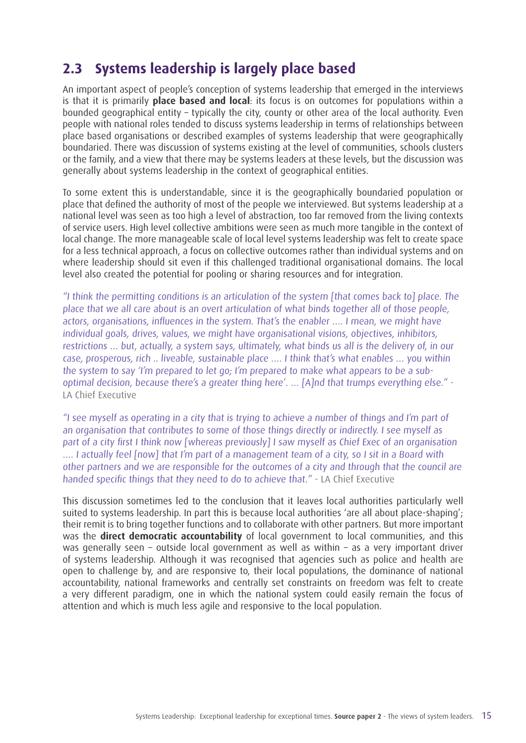### **2.3 Systems leadership is largely place based**

An important aspect of people's conception of systems leadership that emerged in the interviews is that it is primarily **place based and local**: its focus is on outcomes for populations within a bounded geographical entity – typically the city, county or other area of the local authority. Even people with national roles tended to discuss systems leadership in terms of relationships between place based organisations or described examples of systems leadership that were geographically boundaried. There was discussion of systems existing at the level of communities, schools clusters or the family, and a view that there may be systems leaders at these levels, but the discussion was generally about systems leadership in the context of geographical entities.

To some extent this is understandable, since it is the geographically boundaried population or place that defined the authority of most of the people we interviewed. But systems leadership at a national level was seen as too high a level of abstraction, too far removed from the living contexts of service users. High level collective ambitions were seen as much more tangible in the context of local change. The more manageable scale of local level systems leadership was felt to create space for a less technical approach, a focus on collective outcomes rather than individual systems and on where leadership should sit even if this challenged traditional organisational domains. The local level also created the potential for pooling or sharing resources and for integration.

"I think the permitting conditions is an articulation of the system [that comes back to] place. The place that we all care about is an overt articulation of what binds together all of those people, actors, organisations, influences in the system. That's the enabler …. I mean, we might have individual goals, drives, values, we might have organisational visions, objectives, inhibitors, restrictions … but, actually, a system says, ultimately, what binds us all is the delivery of, in our case, prosperous, rich .. liveable, sustainable place …. I think that's what enables … you within the system to say 'I'm prepared to let go; I'm prepared to make what appears to be a suboptimal decision, because there's a greater thing here'. … [A]nd that trumps everything else." - LA Chief Executive

"I see myself as operating in a city that is trying to achieve a number of things and I'm part of an organisation that contributes to some of those things directly or indirectly. I see myself as part of a city first I think now [whereas previously] I saw myself as Chief Exec of an organisation …. I actually feel [now] that I'm part of a management team of a city, so I sit in a Board with other partners and we are responsible for the outcomes of a city and through that the council are handed specific things that they need to do to achieve that." - LA Chief Executive

This discussion sometimes led to the conclusion that it leaves local authorities particularly well suited to systems leadership. In part this is because local authorities 'are all about place-shaping'; their remit is to bring together functions and to collaborate with other partners. But more important was the **direct democratic accountability** of local government to local communities, and this was generally seen – outside local government as well as within – as a very important driver of systems leadership. Although it was recognised that agencies such as police and health are open to challenge by, and are responsive to, their local populations, the dominance of national accountability, national frameworks and centrally set constraints on freedom was felt to create a very different paradigm, one in which the national system could easily remain the focus of attention and which is much less agile and responsive to the local population.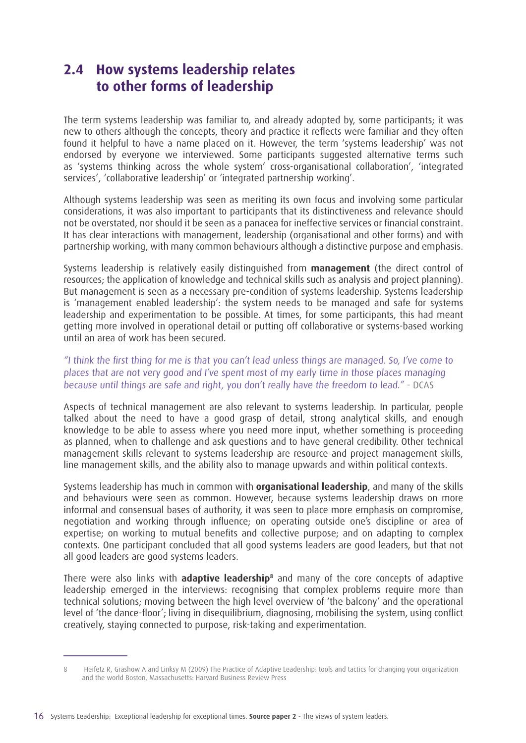### **2.4 How systems leadership relates to other forms of leadership**

The term systems leadership was familiar to, and already adopted by, some participants; it was new to others although the concepts, theory and practice it reflects were familiar and they often found it helpful to have a name placed on it. However, the term 'systems leadership' was not endorsed by everyone we interviewed. Some participants suggested alternative terms such as 'systems thinking across the whole system' cross-organisational collaboration', 'integrated services', 'collaborative leadership' or 'integrated partnership working'.

Although systems leadership was seen as meriting its own focus and involving some particular considerations, it was also important to participants that its distinctiveness and relevance should not be overstated, nor should it be seen as a panacea for ineffective services or financial constraint. It has clear interactions with management, leadership (organisational and other forms) and with partnership working, with many common behaviours although a distinctive purpose and emphasis.

Systems leadership is relatively easily distinguished from **management** (the direct control of resources; the application of knowledge and technical skills such as analysis and project planning). But management is seen as a necessary pre-condition of systems leadership. Systems leadership is 'management enabled leadership': the system needs to be managed and safe for systems leadership and experimentation to be possible. At times, for some participants, this had meant getting more involved in operational detail or putting off collaborative or systems-based working until an area of work has been secured.

#### "I think the first thing for me is that you can't lead unless things are managed. So, I've come to places that are not very good and I've spent most of my early time in those places managing because until things are safe and right, you don't really have the freedom to lead." - DCAS

Aspects of technical management are also relevant to systems leadership. In particular, people talked about the need to have a good grasp of detail, strong analytical skills, and enough knowledge to be able to assess where you need more input, whether something is proceeding as planned, when to challenge and ask questions and to have general credibility. Other technical management skills relevant to systems leadership are resource and project management skills, line management skills, and the ability also to manage upwards and within political contexts.

Systems leadership has much in common with **organisational leadership**, and many of the skills and behaviours were seen as common. However, because systems leadership draws on more informal and consensual bases of authority, it was seen to place more emphasis on compromise, negotiation and working through influence; on operating outside one's discipline or area of expertise; on working to mutual benefits and collective purpose; and on adapting to complex contexts. One participant concluded that all good systems leaders are good leaders, but that not all good leaders are good systems leaders.

There were also links with **adaptive leadership<sup>8</sup>** and many of the core concepts of adaptive leadership emerged in the interviews: recognising that complex problems require more than technical solutions; moving between the high level overview of 'the balcony' and the operational level of 'the dance-floor'; living in disequilibrium, diagnosing, mobilising the system, using conflict creatively, staying connected to purpose, risk-taking and experimentation.

<sup>8</sup> Heifetz R, Grashow A and Linksy M (2009) The Practice of Adaptive Leadership: tools and tactics for changing your organization and the world Boston, Massachusetts: Harvard Business Review Press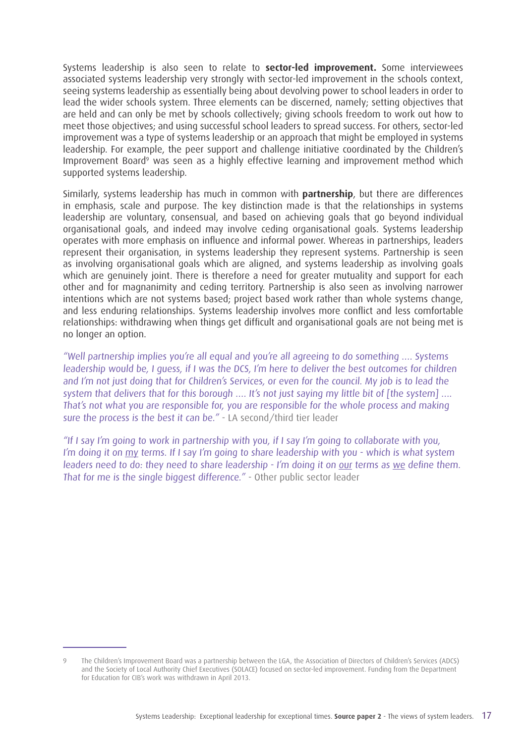Systems leadership is also seen to relate to **sector-led improvement.** Some interviewees associated systems leadership very strongly with sector-led improvement in the schools context, seeing systems leadership as essentially being about devolving power to school leaders in order to lead the wider schools system. Three elements can be discerned, namely; setting objectives that are held and can only be met by schools collectively; giving schools freedom to work out how to meet those objectives; and using successful school leaders to spread success. For others, sector-led improvement was a type of systems leadership or an approach that might be employed in systems leadership. For example, the peer support and challenge initiative coordinated by the Children's Improvement Board<sup>9</sup> was seen as a highly effective learning and improvement method which supported systems leadership.

Similarly, systems leadership has much in common with **partnership**, but there are differences in emphasis, scale and purpose. The key distinction made is that the relationships in systems leadership are voluntary, consensual, and based on achieving goals that go beyond individual organisational goals, and indeed may involve ceding organisational goals. Systems leadership operates with more emphasis on influence and informal power. Whereas in partnerships, leaders represent their organisation, in systems leadership they represent systems. Partnership is seen as involving organisational goals which are aligned, and systems leadership as involving goals which are genuinely joint. There is therefore a need for greater mutuality and support for each other and for magnanimity and ceding territory. Partnership is also seen as involving narrower intentions which are not systems based; project based work rather than whole systems change, and less enduring relationships. Systems leadership involves more conflict and less comfortable relationships: withdrawing when things get difficult and organisational goals are not being met is no longer an option.

"Well partnership implies you're all equal and you're all agreeing to do something …. Systems leadership would be, I guess, if I was the DCS, I'm here to deliver the best outcomes for children and I'm not just doing that for Children's Services, or even for the council. My job is to lead the system that delivers that for this borough .... It's not just saying my little bit of [the system] .... That's not what you are responsible for, you are responsible for the whole process and making sure the process is the best it can be." - LA second/third tier leader

"If I say I'm going to work in partnership with you, if I say I'm going to collaborate with you, I'm doing it on my terms. If I say I'm going to share leadership with you - which is what system leaders need to do: they need to share leadership - I'm doing it on our terms as we define them. That for me is the single biggest difference." - Other public sector leader

<sup>9</sup> The Children's Improvement Board was a partnership between the LGA, the Association of Directors of Children's Services (ADCS) and the Society of Local Authority Chief Executives (SOLACE) focused on sector-led improvement. Funding from the Department for Education for CIB's work was withdrawn in April 2013.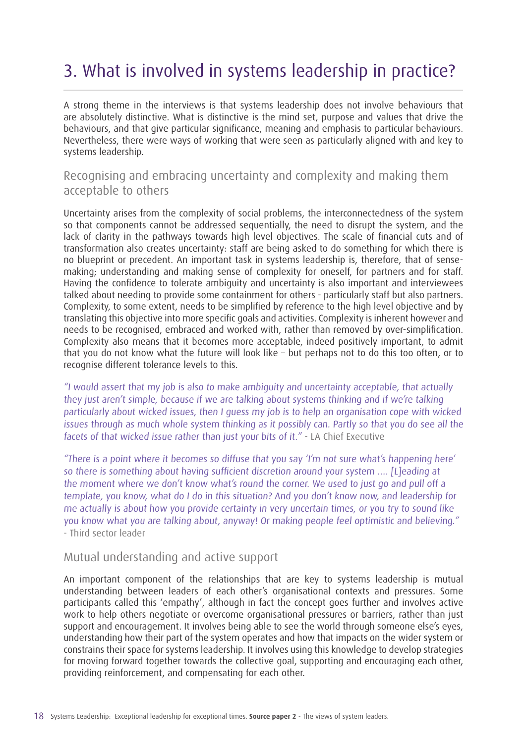## 3. What is involved in systems leadership in practice?

A strong theme in the interviews is that systems leadership does not involve behaviours that are absolutely distinctive. What is distinctive is the mind set, purpose and values that drive the behaviours, and that give particular significance, meaning and emphasis to particular behaviours. Nevertheless, there were ways of working that were seen as particularly aligned with and key to systems leadership.

### Recognising and embracing uncertainty and complexity and making them acceptable to others

Uncertainty arises from the complexity of social problems, the interconnectedness of the system so that components cannot be addressed sequentially, the need to disrupt the system, and the lack of clarity in the pathways towards high level objectives. The scale of financial cuts and of transformation also creates uncertainty: staff are being asked to do something for which there is no blueprint or precedent. An important task in systems leadership is, therefore, that of sensemaking; understanding and making sense of complexity for oneself, for partners and for staff. Having the confidence to tolerate ambiguity and uncertainty is also important and interviewees talked about needing to provide some containment for others - particularly staff but also partners. Complexity, to some extent, needs to be simplified by reference to the high level objective and by translating this objective into more specific goals and activities. Complexity is inherent however and needs to be recognised, embraced and worked with, rather than removed by over-simplification. Complexity also means that it becomes more acceptable, indeed positively important, to admit that you do not know what the future will look like – but perhaps not to do this too often, or to recognise different tolerance levels to this.

"I would assert that my job is also to make ambiguity and uncertainty acceptable, that actually they just aren't simple, because if we are talking about systems thinking and if we're talking particularly about wicked issues, then I guess my job is to help an organisation cope with wicked issues through as much whole system thinking as it possibly can. Partly so that you do see all the facets of that wicked issue rather than just your bits of it." - LA Chief Executive

"There is a point where it becomes so diffuse that you say 'I'm not sure what's happening here' so there is something about having sufficient discretion around your system .... [Lleading at the moment where we don't know what's round the corner. We used to just go and pull off a template, you know, what do I do in this situation? And you don't know now, and leadership for me actually is about how you provide certainty in very uncertain times, or you try to sound like you know what you are talking about, anyway! Or making people feel optimistic and believing." - Third sector leader

#### Mutual understanding and active support

An important component of the relationships that are key to systems leadership is mutual understanding between leaders of each other's organisational contexts and pressures. Some participants called this 'empathy', although in fact the concept goes further and involves active work to help others negotiate or overcome organisational pressures or barriers, rather than just support and encouragement. It involves being able to see the world through someone else's eyes, understanding how their part of the system operates and how that impacts on the wider system or constrains their space for systems leadership. It involves using this knowledge to develop strategies for moving forward together towards the collective goal, supporting and encouraging each other, providing reinforcement, and compensating for each other.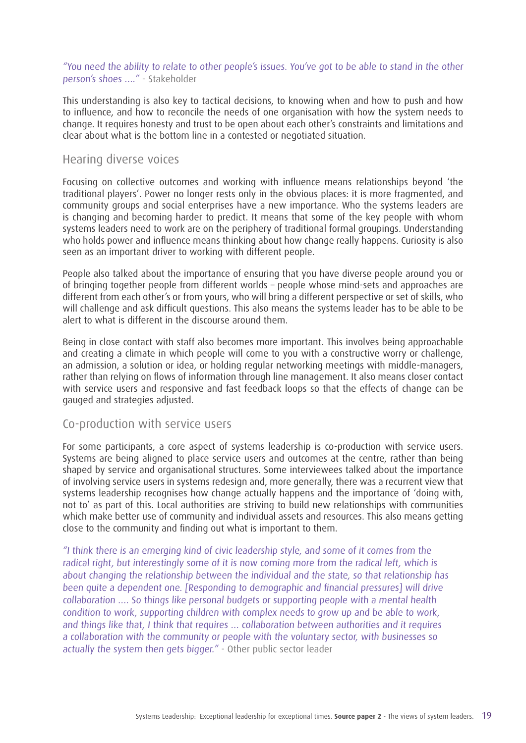#### "You need the ability to relate to other people's issues. You've got to be able to stand in the other person's shoes …." - Stakeholder

This understanding is also key to tactical decisions, to knowing when and how to push and how to influence, and how to reconcile the needs of one organisation with how the system needs to change. It requires honesty and trust to be open about each other's constraints and limitations and clear about what is the bottom line in a contested or negotiated situation.

#### Hearing diverse voices

Focusing on collective outcomes and working with influence means relationships beyond 'the traditional players'. Power no longer rests only in the obvious places: it is more fragmented, and community groups and social enterprises have a new importance. Who the systems leaders are is changing and becoming harder to predict. It means that some of the key people with whom systems leaders need to work are on the periphery of traditional formal groupings. Understanding who holds power and influence means thinking about how change really happens. Curiosity is also seen as an important driver to working with different people.

People also talked about the importance of ensuring that you have diverse people around you or of bringing together people from different worlds – people whose mind-sets and approaches are different from each other's or from yours, who will bring a different perspective or set of skills, who will challenge and ask difficult questions. This also means the systems leader has to be able to be alert to what is different in the discourse around them.

Being in close contact with staff also becomes more important. This involves being approachable and creating a climate in which people will come to you with a constructive worry or challenge, an admission, a solution or idea, or holding regular networking meetings with middle-managers, rather than relying on flows of information through line management. It also means closer contact with service users and responsive and fast feedback loops so that the effects of change can be gauged and strategies adjusted.

#### Co-production with service users

For some participants, a core aspect of systems leadership is co-production with service users. Systems are being aligned to place service users and outcomes at the centre, rather than being shaped by service and organisational structures. Some interviewees talked about the importance of involving service users in systems redesign and, more generally, there was a recurrent view that systems leadership recognises how change actually happens and the importance of 'doing with, not to' as part of this. Local authorities are striving to build new relationships with communities which make better use of community and individual assets and resources. This also means getting close to the community and finding out what is important to them.

"I think there is an emerging kind of civic leadership style, and some of it comes from the radical right, but interestingly some of it is now coming more from the radical left, which is about changing the relationship between the individual and the state, so that relationship has been quite a dependent one. [Responding to demographic and financial pressures] will drive collaboration …. So things like personal budgets or supporting people with a mental health condition to work, supporting children with complex needs to grow up and be able to work, and things like that, I think that requires ... collaboration between authorities and it requires a collaboration with the community or people with the voluntary sector, with businesses so actually the system then gets bigger." - Other public sector leader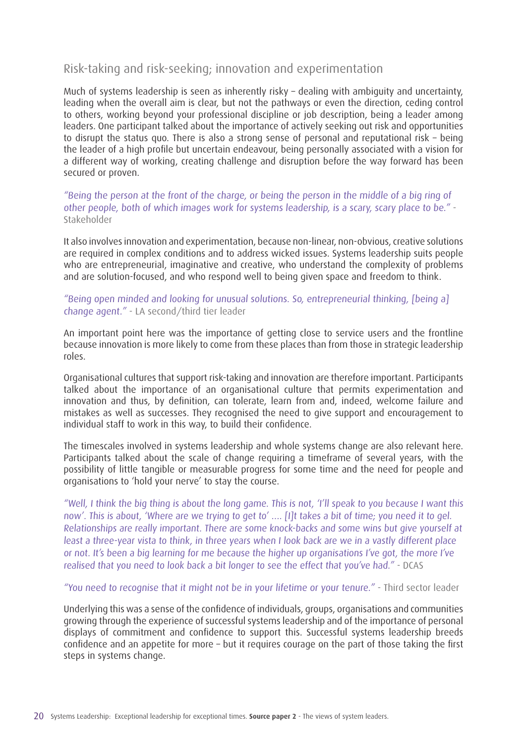#### Risk-taking and risk-seeking; innovation and experimentation

Much of systems leadership is seen as inherently risky – dealing with ambiguity and uncertainty, leading when the overall aim is clear, but not the pathways or even the direction, ceding control to others, working beyond your professional discipline or job description, being a leader among leaders. One participant talked about the importance of actively seeking out risk and opportunities to disrupt the status quo. There is also a strong sense of personal and reputational risk – being the leader of a high profile but uncertain endeavour, being personally associated with a vision for a different way of working, creating challenge and disruption before the way forward has been secured or proven.

"Being the person at the front of the charge, or being the person in the middle of a big ring of other people, both of which images work for systems leadership, is a scary, scary place to be." - Stakeholder

It also involves innovation and experimentation, because non-linear, non-obvious, creative solutions are required in complex conditions and to address wicked issues. Systems leadership suits people who are entrepreneurial, imaginative and creative, who understand the complexity of problems and are solution-focused, and who respond well to being given space and freedom to think.

#### "Being open minded and looking for unusual solutions. So, entrepreneurial thinking, [being a] change agent." - LA second/third tier leader

An important point here was the importance of getting close to service users and the frontline because innovation is more likely to come from these places than from those in strategic leadership roles.

Organisational cultures that support risk-taking and innovation are therefore important. Participants talked about the importance of an organisational culture that permits experimentation and innovation and thus, by definition, can tolerate, learn from and, indeed, welcome failure and mistakes as well as successes. They recognised the need to give support and encouragement to individual staff to work in this way, to build their confidence.

The timescales involved in systems leadership and whole systems change are also relevant here. Participants talked about the scale of change requiring a timeframe of several years, with the possibility of little tangible or measurable progress for some time and the need for people and organisations to 'hold your nerve' to stay the course.

"Well, I think the big thing is about the long game. This is not, 'I'll speak to you because I want this now'. This is about, 'Where are we trying to get to' …. [I]t takes a bit of time; you need it to gel. Relationships are really important. There are some knock-backs and some wins but give yourself at least a three-year vista to think, in three years when I look back are we in a vastly different place or not. It's been a big learning for me because the higher up organisations I've got, the more I've realised that you need to look back a bit longer to see the effect that you've had." - DCAS

"You need to recognise that it might not be in your lifetime or your tenure." - Third sector leader

Underlying this was a sense of the confidence of individuals, groups, organisations and communities growing through the experience of successful systems leadership and of the importance of personal displays of commitment and confidence to support this. Successful systems leadership breeds confidence and an appetite for more – but it requires courage on the part of those taking the first steps in systems change.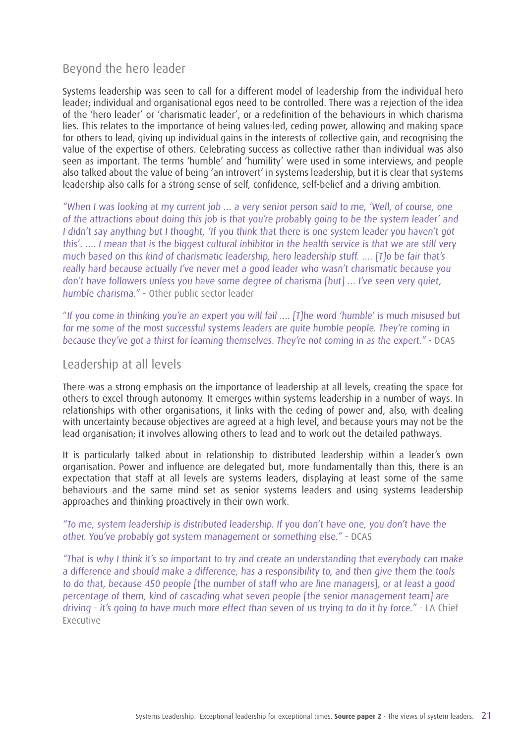#### Beyond the hero leader

Systems leadership was seen to call for a different model of leadership from the individual hero leader; individual and organisational egos need to be controlled. There was a rejection of the idea of the 'hero leader' or 'charismatic leader', or a redefinition of the behaviours in which charisma lies. This relates to the importance of being values-led, ceding power, allowing and making space for others to lead, giving up individual gains in the interests of collective gain, and recognising the value of the expertise of others. Celebrating success as collective rather than individual was also seen as important. The terms 'humble' and 'humility' were used in some interviews, and people also talked about the value of being 'an introvert' in systems leadership, but it is clear that systems leadership also calls for a strong sense of self, confidence, self-belief and a driving ambition.

"When I was looking at my current job … a very senior person said to me, 'Well, of course, one of the attractions about doing this job is that you're probably going to be the system leader' and I didn't say anything but I thought, 'If you think that there is one system leader you haven't got this'. …. I mean that is the biggest cultural inhibitor in the health service is that we are still very much based on this kind of charismatic leadership, hero leadership stuff. …. [T]o be fair that's really hard because actually I've never met a good leader who wasn't charismatic because you don't have followers unless you have some degree of charisma [but] … I've seen very quiet, humble charisma." - Other public sector leader

"If you come in thinking you're an expert you will fail …. [T]he word 'humble' is much misused but for me some of the most successful systems leaders are quite humble people. They're coming in because they've got a thirst for learning themselves. They're not coming in as the expert." - DCAS

#### Leadership at all levels

There was a strong emphasis on the importance of leadership at all levels, creating the space for others to excel through autonomy. It emerges within systems leadership in a number of ways. In relationships with other organisations, it links with the ceding of power and, also, with dealing with uncertainty because objectives are agreed at a high level, and because yours may not be the lead organisation; it involves allowing others to lead and to work out the detailed pathways.

It is particularly talked about in relationship to distributed leadership within a leader's own organisation. Power and influence are delegated but, more fundamentally than this, there is an expectation that staff at all levels are systems leaders, displaying at least some of the same behaviours and the same mind set as senior systems leaders and using systems leadership approaches and thinking proactively in their own work.

#### "To me, system leadership is distributed leadership. If you don't have one, you don't have the other. You've probably got system management or something else." - DCAS

"That is why I think it's so important to try and create an understanding that everybody can make a difference and should make a difference, has a responsibility to, and then give them the tools to do that, because 450 people [the number of staff who are line managers], or at least a good percentage of them, kind of cascading what seven people [the senior management team] are driving - it's going to have much more effect than seven of us trying to do it by force." - LA Chief Executive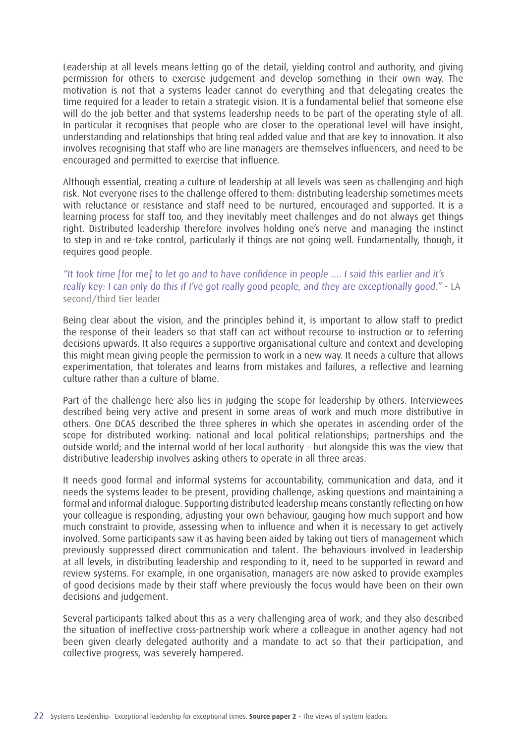Leadership at all levels means letting go of the detail, yielding control and authority, and giving permission for others to exercise judgement and develop something in their own way. The motivation is not that a systems leader cannot do everything and that delegating creates the time required for a leader to retain a strategic vision. It is a fundamental belief that someone else will do the job better and that systems leadership needs to be part of the operating style of all. In particular it recognises that people who are closer to the operational level will have insight, understanding and relationships that bring real added value and that are key to innovation. It also involves recognising that staff who are line managers are themselves influencers, and need to be encouraged and permitted to exercise that influence.

Although essential, creating a culture of leadership at all levels was seen as challenging and high risk. Not everyone rises to the challenge offered to them: distributing leadership sometimes meets with reluctance or resistance and staff need to be nurtured, encouraged and supported. It is a learning process for staff too, and they inevitably meet challenges and do not always get things right. Distributed leadership therefore involves holding one's nerve and managing the instinct to step in and re-take control, particularly if things are not going well. Fundamentally, though, it requires good people.

"It took time [for me] to let go and to have confidence in people …. I said this earlier and it's really key: I can only do this if I've got really good people, and they are exceptionally good." - LA second/third tier leader

Being clear about the vision, and the principles behind it, is important to allow staff to predict the response of their leaders so that staff can act without recourse to instruction or to referring decisions upwards. It also requires a supportive organisational culture and context and developing this might mean giving people the permission to work in a new way. It needs a culture that allows experimentation, that tolerates and learns from mistakes and failures, a reflective and learning culture rather than a culture of blame.

Part of the challenge here also lies in judging the scope for leadership by others. Interviewees described being very active and present in some areas of work and much more distributive in others. One DCAS described the three spheres in which she operates in ascending order of the scope for distributed working: national and local political relationships; partnerships and the outside world; and the internal world of her local authority – but alongside this was the view that distributive leadership involves asking others to operate in all three areas.

It needs good formal and informal systems for accountability, communication and data, and it needs the systems leader to be present, providing challenge, asking questions and maintaining a formal and informal dialogue. Supporting distributed leadership means constantly reflecting on how your colleague is responding, adjusting your own behaviour, gauging how much support and how much constraint to provide, assessing when to influence and when it is necessary to get actively involved. Some participants saw it as having been aided by taking out tiers of management which previously suppressed direct communication and talent. The behaviours involved in leadership at all levels, in distributing leadership and responding to it, need to be supported in reward and review systems. For example, in one organisation, managers are now asked to provide examples of good decisions made by their staff where previously the focus would have been on their own decisions and judgement.

Several participants talked about this as a very challenging area of work, and they also described the situation of ineffective cross-partnership work where a colleague in another agency had not been given clearly delegated authority and a mandate to act so that their participation, and collective progress, was severely hampered.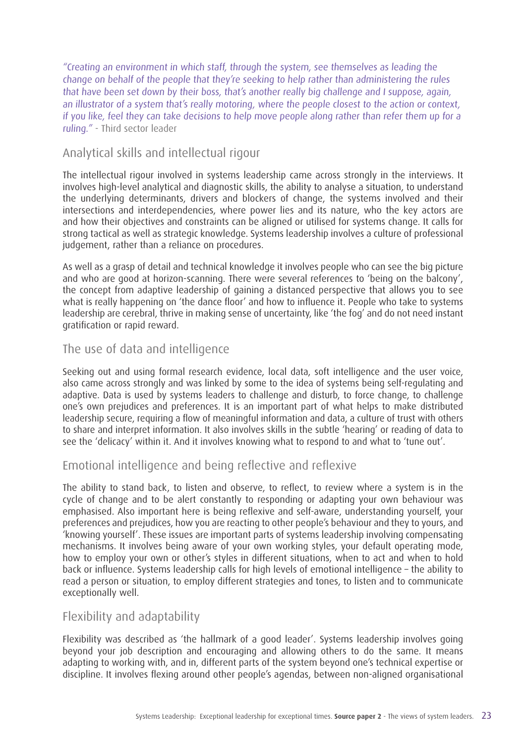"Creating an environment in which staff, through the system, see themselves as leading the change on behalf of the people that they're seeking to help rather than administering the rules that have been set down by their boss, that's another really big challenge and I suppose, again, an illustrator of a system that's really motoring, where the people closest to the action or context, if you like, feel they can take decisions to help move people along rather than refer them up for a ruling." - Third sector leader

#### Analytical skills and intellectual rigour

The intellectual rigour involved in systems leadership came across strongly in the interviews. It involves high-level analytical and diagnostic skills, the ability to analyse a situation, to understand the underlying determinants, drivers and blockers of change, the systems involved and their intersections and interdependencies, where power lies and its nature, who the key actors are and how their objectives and constraints can be aligned or utilised for systems change. It calls for strong tactical as well as strategic knowledge. Systems leadership involves a culture of professional judgement, rather than a reliance on procedures.

As well as a grasp of detail and technical knowledge it involves people who can see the big picture and who are good at horizon-scanning. There were several references to 'being on the balcony', the concept from adaptive leadership of gaining a distanced perspective that allows you to see what is really happening on 'the dance floor' and how to influence it. People who take to systems leadership are cerebral, thrive in making sense of uncertainty, like 'the fog' and do not need instant gratification or rapid reward.

#### The use of data and intelligence

Seeking out and using formal research evidence, local data, soft intelligence and the user voice, also came across strongly and was linked by some to the idea of systems being self-regulating and adaptive. Data is used by systems leaders to challenge and disturb, to force change, to challenge one's own prejudices and preferences. It is an important part of what helps to make distributed leadership secure, requiring a flow of meaningful information and data, a culture of trust with others to share and interpret information. It also involves skills in the subtle 'hearing' or reading of data to see the 'delicacy' within it. And it involves knowing what to respond to and what to 'tune out'.

#### Emotional intelligence and being reflective and reflexive

The ability to stand back, to listen and observe, to reflect, to review where a system is in the cycle of change and to be alert constantly to responding or adapting your own behaviour was emphasised. Also important here is being reflexive and self-aware, understanding yourself, your preferences and prejudices, how you are reacting to other people's behaviour and they to yours, and 'knowing yourself'. These issues are important parts of systems leadership involving compensating mechanisms. It involves being aware of your own working styles, your default operating mode, how to employ your own or other's styles in different situations, when to act and when to hold back or influence. Systems leadership calls for high levels of emotional intelligence – the ability to read a person or situation, to employ different strategies and tones, to listen and to communicate exceptionally well.

#### Flexibility and adaptability

Flexibility was described as 'the hallmark of a good leader'. Systems leadership involves going beyond your job description and encouraging and allowing others to do the same. It means adapting to working with, and in, different parts of the system beyond one's technical expertise or discipline. It involves flexing around other people's agendas, between non-aligned organisational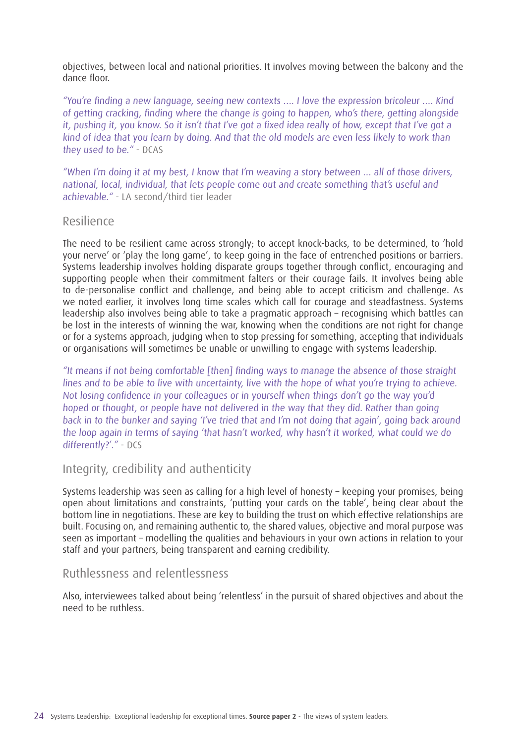objectives, between local and national priorities. It involves moving between the balcony and the dance floor.

"You're finding a new language, seeing new contexts …. I love the expression bricoleur …. Kind of getting cracking, finding where the change is going to happen, who's there, getting alongside it, pushing it, you know. So it isn't that I've got a fixed idea really of how, except that I've got a kind of idea that you learn by doing. And that the old models are even less likely to work than they used to be." - DCAS

"When I'm doing it at my best, I know that I'm weaving a story between … all of those drivers, national, local, individual, that lets people come out and create something that's useful and achievable." - LA second/third tier leader

#### Resilience

The need to be resilient came across strongly; to accept knock-backs, to be determined, to 'hold your nerve' or 'play the long game', to keep going in the face of entrenched positions or barriers. Systems leadership involves holding disparate groups together through conflict, encouraging and supporting people when their commitment falters or their courage fails. It involves being able to de-personalise conflict and challenge, and being able to accept criticism and challenge. As we noted earlier, it involves long time scales which call for courage and steadfastness. Systems leadership also involves being able to take a pragmatic approach – recognising which battles can be lost in the interests of winning the war, knowing when the conditions are not right for change or for a systems approach, judging when to stop pressing for something, accepting that individuals or organisations will sometimes be unable or unwilling to engage with systems leadership.

"It means if not being comfortable [then] finding ways to manage the absence of those straight lines and to be able to live with uncertainty, live with the hope of what you're trying to achieve. Not losing confidence in your colleagues or in yourself when things don't go the way you'd hoped or thought, or people have not delivered in the way that they did. Rather than going back in to the bunker and saying 'I've tried that and I'm not doing that again', going back around the loop again in terms of saying 'that hasn't worked, why hasn't it worked, what could we do differently?'." - DCS

#### Integrity, credibility and authenticity

Systems leadership was seen as calling for a high level of honesty – keeping your promises, being open about limitations and constraints, 'putting your cards on the table', being clear about the bottom line in negotiations. These are key to building the trust on which effective relationships are built. Focusing on, and remaining authentic to, the shared values, objective and moral purpose was seen as important – modelling the qualities and behaviours in your own actions in relation to your staff and your partners, being transparent and earning credibility.

#### Ruthlessness and relentlessness

Also, interviewees talked about being 'relentless' in the pursuit of shared objectives and about the need to be ruthless.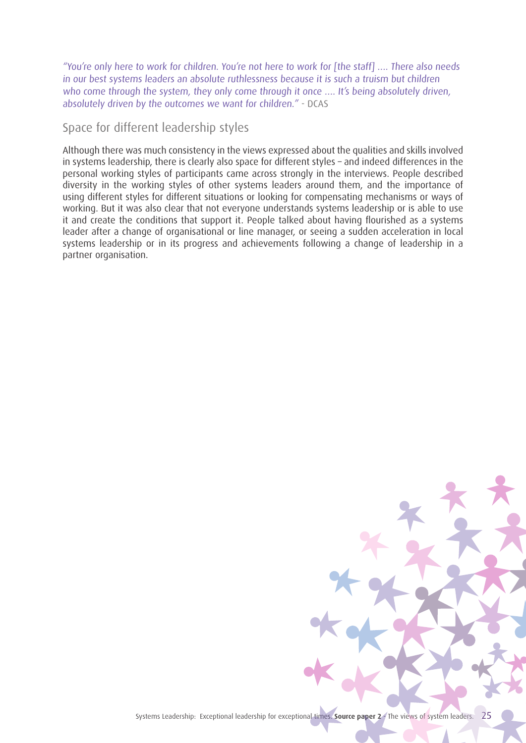"You're only here to work for children. You're not here to work for [the staff] …. There also needs in our best systems leaders an absolute ruthlessness because it is such a truism but children who come through the system, they only come through it once .... It's being absolutely driven, absolutely driven by the outcomes we want for children." - DCAS

#### Space for different leadership styles

Although there was much consistency in the views expressed about the qualities and skills involved in systems leadership, there is clearly also space for different styles – and indeed differences in the personal working styles of participants came across strongly in the interviews. People described diversity in the working styles of other systems leaders around them, and the importance of using different styles for different situations or looking for compensating mechanisms or ways of working. But it was also clear that not everyone understands systems leadership or is able to use it and create the conditions that support it. People talked about having flourished as a systems leader after a change of organisational or line manager, or seeing a sudden acceleration in local systems leadership or in its progress and achievements following a change of leadership in a partner organisation.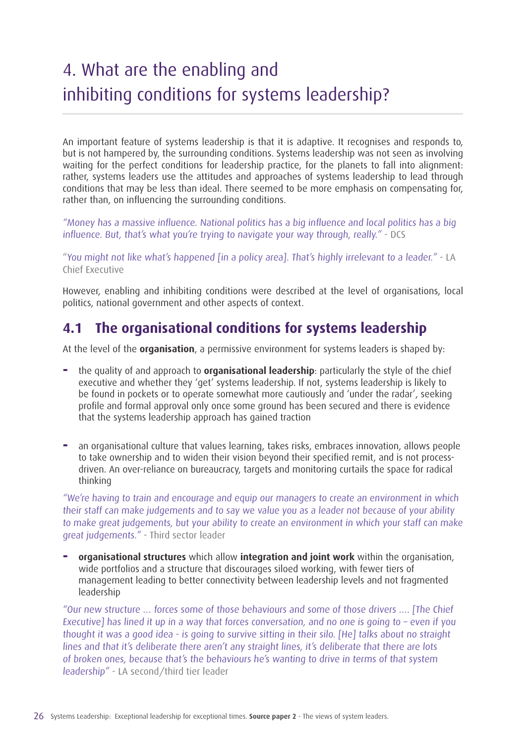## 4. What are the enabling and inhibiting conditions for systems leadership?

An important feature of systems leadership is that it is adaptive. It recognises and responds to, but is not hampered by, the surrounding conditions. Systems leadership was not seen as involving waiting for the perfect conditions for leadership practice, for the planets to fall into alignment: rather, systems leaders use the attitudes and approaches of systems leadership to lead through conditions that may be less than ideal. There seemed to be more emphasis on compensating for, rather than, on influencing the surrounding conditions.

"Money has a massive influence. National politics has a big influence and local politics has a big influence. But, that's what you're trying to navigate your way through, really." - DCS

"You might not like what's happened [in a policy area]. That's highly irrelevant to a leader." - LA Chief Executive

However, enabling and inhibiting conditions were described at the level of organisations, local politics, national government and other aspects of context.

### **4.1 The organisational conditions for systems leadership**

At the level of the **organisation**, a permissive environment for systems leaders is shaped by:

- **−** the quality of and approach to **organisational leadership**: particularly the style of the chief executive and whether they 'get' systems leadership. If not, systems leadership is likely to be found in pockets or to operate somewhat more cautiously and 'under the radar', seeking profile and formal approval only once some ground has been secured and there is evidence that the systems leadership approach has gained traction
- **−** an organisational culture that values learning, takes risks, embraces innovation, allows people to take ownership and to widen their vision beyond their specified remit, and is not processdriven. An over-reliance on bureaucracy, targets and monitoring curtails the space for radical thinking

"We're having to train and encourage and equip our managers to create an environment in which their staff can make judgements and to say we value you as a leader not because of your ability to make great judgements, but your ability to create an environment in which your staff can make great judgements." - Third sector leader

**− organisational structures** which allow **integration and joint work** within the organisation, wide portfolios and a structure that discourages siloed working, with fewer tiers of management leading to better connectivity between leadership levels and not fragmented leadership

"Our new structure … forces some of those behaviours and some of those drivers …. [The Chief Executive] has lined it up in a way that forces conversation, and no one is going to – even if you thought it was a good idea - is going to survive sitting in their silo. [He] talks about no straight lines and that it's deliberate there aren't any straight lines, it's deliberate that there are lots of broken ones, because that's the behaviours he's wanting to drive in terms of that system leadership" - LA second/third tier leader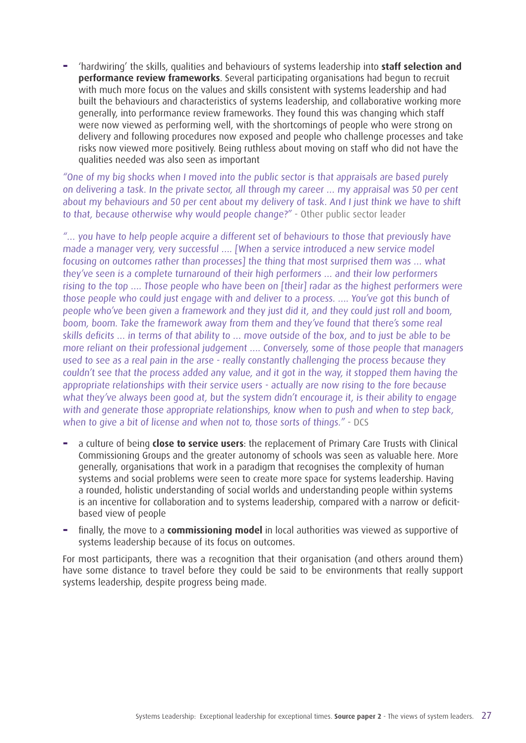**−** 'hardwiring' the skills, qualities and behaviours of systems leadership into **staff selection and performance review frameworks**. Several participating organisations had begun to recruit with much more focus on the values and skills consistent with systems leadership and had built the behaviours and characteristics of systems leadership, and collaborative working more generally, into performance review frameworks. They found this was changing which staff were now viewed as performing well, with the shortcomings of people who were strong on delivery and following procedures now exposed and people who challenge processes and take risks now viewed more positively. Being ruthless about moving on staff who did not have the qualities needed was also seen as important

"One of my big shocks when I moved into the public sector is that appraisals are based purely on delivering a task. In the private sector, all through my career … my appraisal was 50 per cent about my behaviours and 50 per cent about my delivery of task. And I just think we have to shift to that, because otherwise why would people change?" - Other public sector leader

"… you have to help people acquire a different set of behaviours to those that previously have made a manager very, very successful …. [When a service introduced a new service model focusing on outcomes rather than processes] the thing that most surprised them was … what they've seen is a complete turnaround of their high performers … and their low performers rising to the top …. Those people who have been on [their] radar as the highest performers were those people who could just engage with and deliver to a process. …. You've got this bunch of people who've been given a framework and they just did it, and they could just roll and boom, boom, boom. Take the framework away from them and they've found that there's some real skills deficits … in terms of that ability to … move outside of the box, and to just be able to be more reliant on their professional judgement …. Conversely, some of those people that managers used to see as a real pain in the arse - really constantly challenging the process because they couldn't see that the process added any value, and it got in the way, it stopped them having the appropriate relationships with their service users - actually are now rising to the fore because what they've always been good at, but the system didn't encourage it, is their ability to engage with and generate those appropriate relationships, know when to push and when to step back, when to give a bit of license and when not to, those sorts of things." - DCS

- **−** a culture of being **close to service users**: the replacement of Primary Care Trusts with Clinical Commissioning Groups and the greater autonomy of schools was seen as valuable here. More generally, organisations that work in a paradigm that recognises the complexity of human systems and social problems were seen to create more space for systems leadership. Having a rounded, holistic understanding of social worlds and understanding people within systems is an incentive for collaboration and to systems leadership, compared with a narrow or deficitbased view of people
- **−** finally, the move to a **commissioning model** in local authorities was viewed as supportive of systems leadership because of its focus on outcomes.

For most participants, there was a recognition that their organisation (and others around them) have some distance to travel before they could be said to be environments that really support systems leadership, despite progress being made.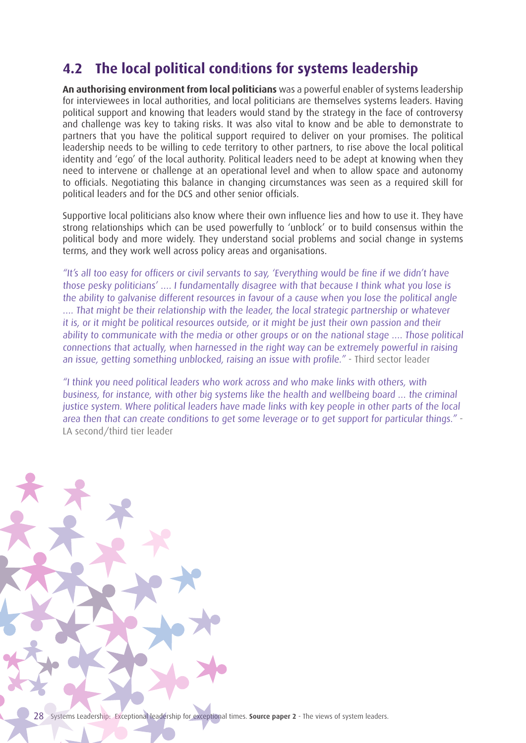### **4.2 The local political cond**i**tions for systems leadership**

**An authorising environment from local politicians** was a powerful enabler of systems leadership for interviewees in local authorities, and local politicians are themselves systems leaders. Having political support and knowing that leaders would stand by the strategy in the face of controversy and challenge was key to taking risks. It was also vital to know and be able to demonstrate to partners that you have the political support required to deliver on your promises. The political leadership needs to be willing to cede territory to other partners, to rise above the local political identity and 'ego' of the local authority. Political leaders need to be adept at knowing when they need to intervene or challenge at an operational level and when to allow space and autonomy to officials. Negotiating this balance in changing circumstances was seen as a required skill for political leaders and for the DCS and other senior officials.

Supportive local politicians also know where their own influence lies and how to use it. They have strong relationships which can be used powerfully to 'unblock' or to build consensus within the political body and more widely. They understand social problems and social change in systems terms, and they work well across policy areas and organisations.

"It's all too easy for officers or civil servants to say, 'Everything would be fine if we didn't have those pesky politicians' …. I fundamentally disagree with that because I think what you lose is the ability to galvanise different resources in favour of a cause when you lose the political angle …. That might be their relationship with the leader, the local strategic partnership or whatever it is, or it might be political resources outside, or it might be just their own passion and their ability to communicate with the media or other groups or on the national stage …. Those political connections that actually, when harnessed in the right way can be extremely powerful in raising an issue, getting something unblocked, raising an issue with profile." - Third sector leader

"I think you need political leaders who work across and who make links with others, with business, for instance, with other big systems like the health and wellbeing board … the criminal justice system. Where political leaders have made links with key people in other parts of the local area then that can create conditions to get some leverage or to get support for particular things." - LA second/third tier leader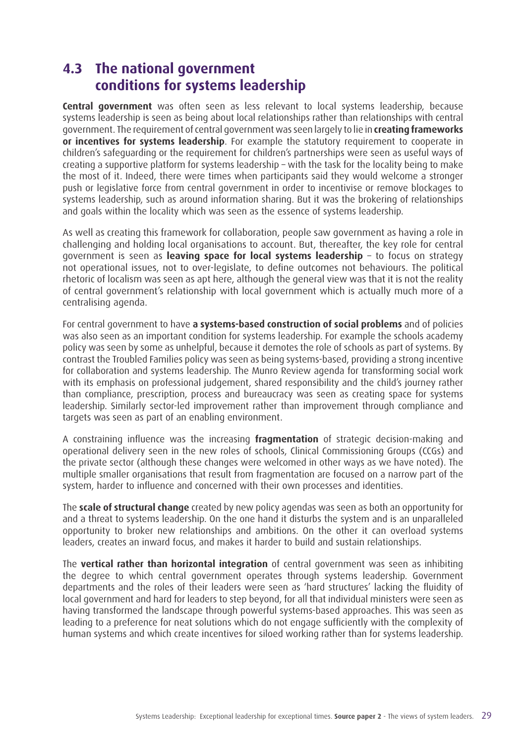### **4.3 The national government conditions for systems leadership**

**Central government** was often seen as less relevant to local systems leadership, because systems leadership is seen as being about local relationships rather than relationships with central government. The requirement of central government was seen largely to lie in **creating frameworks or incentives for systems leadership**. For example the statutory requirement to cooperate in children's safeguarding or the requirement for children's partnerships were seen as useful ways of creating a supportive platform for systems leadership – with the task for the locality being to make the most of it. Indeed, there were times when participants said they would welcome a stronger push or legislative force from central government in order to incentivise or remove blockages to systems leadership, such as around information sharing. But it was the brokering of relationships and goals within the locality which was seen as the essence of systems leadership.

As well as creating this framework for collaboration, people saw government as having a role in challenging and holding local organisations to account. But, thereafter, the key role for central government is seen as **leaving space for local systems leadership** – to focus on strategy not operational issues, not to over-legislate, to define outcomes not behaviours. The political rhetoric of localism was seen as apt here, although the general view was that it is not the reality of central government's relationship with local government which is actually much more of a centralising agenda.

For central government to have **a systems-based construction of social problems** and of policies was also seen as an important condition for systems leadership. For example the schools academy policy was seen by some as unhelpful, because it demotes the role of schools as part of systems. By contrast the Troubled Families policy was seen as being systems-based, providing a strong incentive for collaboration and systems leadership. The Munro Review agenda for transforming social work with its emphasis on professional judgement, shared responsibility and the child's journey rather than compliance, prescription, process and bureaucracy was seen as creating space for systems leadership. Similarly sector-led improvement rather than improvement through compliance and targets was seen as part of an enabling environment.

A constraining influence was the increasing **fragmentation** of strategic decision-making and operational delivery seen in the new roles of schools, Clinical Commissioning Groups (CCGs) and the private sector (although these changes were welcomed in other ways as we have noted). The multiple smaller organisations that result from fragmentation are focused on a narrow part of the system, harder to influence and concerned with their own processes and identities.

The **scale of structural change** created by new policy agendas was seen as both an opportunity for and a threat to systems leadership. On the one hand it disturbs the system and is an unparalleled opportunity to broker new relationships and ambitions. On the other it can overload systems leaders, creates an inward focus, and makes it harder to build and sustain relationships.

The **vertical rather than horizontal integration** of central government was seen as inhibiting the degree to which central government operates through systems leadership. Government departments and the roles of their leaders were seen as 'hard structures' lacking the fluidity of local government and hard for leaders to step beyond, for all that individual ministers were seen as having transformed the landscape through powerful systems-based approaches. This was seen as leading to a preference for neat solutions which do not engage sufficiently with the complexity of human systems and which create incentives for siloed working rather than for systems leadership.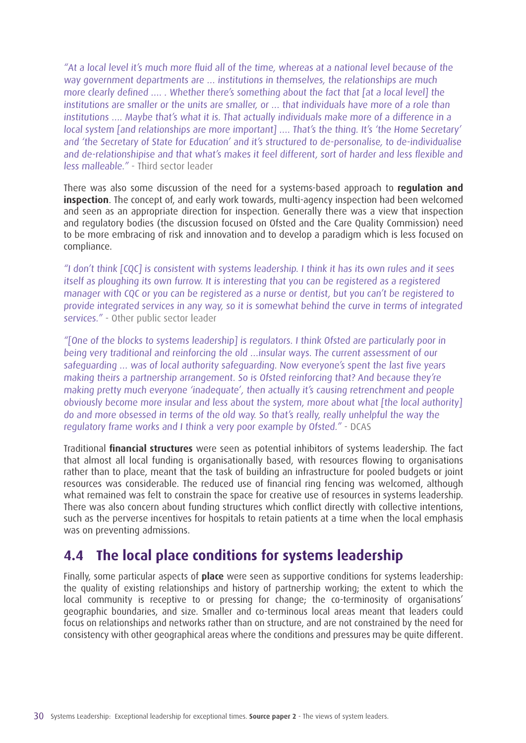"At a local level it's much more fluid all of the time, whereas at a national level because of the way government departments are … institutions in themselves, the relationships are much more clearly defined …. . Whether there's something about the fact that [at a local level] the institutions are smaller or the units are smaller, or … that individuals have more of a role than institutions …. Maybe that's what it is. That actually individuals make more of a difference in a local system [and relationships are more important] .... That's the thing. It's 'the Home Secretary' and 'the Secretary of State for Education' and it's structured to de-personalise, to de-individualise and de-relationshipise and that what's makes it feel different, sort of harder and less flexible and less malleable." - Third sector leader

There was also some discussion of the need for a systems-based approach to **regulation and inspection**. The concept of, and early work towards, multi-agency inspection had been welcomed and seen as an appropriate direction for inspection. Generally there was a view that inspection and regulatory bodies (the discussion focused on Ofsted and the Care Quality Commission) need to be more embracing of risk and innovation and to develop a paradigm which is less focused on compliance.

"I don't think [CQC] is consistent with systems leadership. I think it has its own rules and it sees itself as ploughing its own furrow. It is interesting that you can be registered as a registered manager with CQC or you can be registered as a nurse or dentist, but you can't be registered to provide integrated services in any way, so it is somewhat behind the curve in terms of integrated services." - Other public sector leader

"[One of the blocks to systems leadership] is regulators. I think Ofsted are particularly poor in being very traditional and reinforcing the old …insular ways. The current assessment of our safeguarding … was of local authority safeguarding. Now everyone's spent the last five years making theirs a partnership arrangement. So is Ofsted reinforcing that? And because they're making pretty much everyone 'inadequate', then actually it's causing retrenchment and people obviously become more insular and less about the system, more about what [the local authority] do and more obsessed in terms of the old way. So that's really, really unhelpful the way the regulatory frame works and I think a very poor example by Ofsted." - DCAS

Traditional **financial structures** were seen as potential inhibitors of systems leadership. The fact that almost all local funding is organisationally based, with resources flowing to organisations rather than to place, meant that the task of building an infrastructure for pooled budgets or joint resources was considerable. The reduced use of financial ring fencing was welcomed, although what remained was felt to constrain the space for creative use of resources in systems leadership. There was also concern about funding structures which conflict directly with collective intentions, such as the perverse incentives for hospitals to retain patients at a time when the local emphasis was on preventing admissions.

### **4.4 The local place conditions for systems leadership**

Finally, some particular aspects of **place** were seen as supportive conditions for systems leadership: the quality of existing relationships and history of partnership working; the extent to which the local community is receptive to or pressing for change; the co-terminosity of organisations' geographic boundaries, and size. Smaller and co-terminous local areas meant that leaders could focus on relationships and networks rather than on structure, and are not constrained by the need for consistency with other geographical areas where the conditions and pressures may be quite different.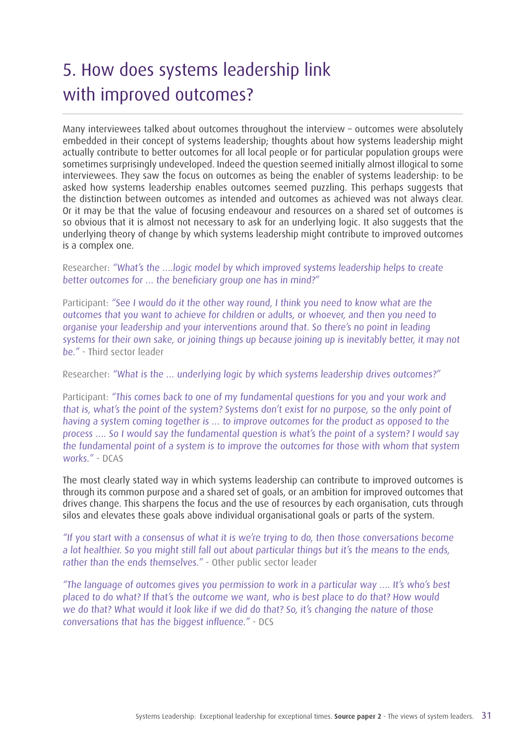## 5. How does systems leadership link with improved outcomes?

Many interviewees talked about outcomes throughout the interview – outcomes were absolutely embedded in their concept of systems leadership; thoughts about how systems leadership might actually contribute to better outcomes for all local people or for particular population groups were sometimes surprisingly undeveloped. Indeed the question seemed initially almost illogical to some interviewees. They saw the focus on outcomes as being the enabler of systems leadership: to be asked how systems leadership enables outcomes seemed puzzling. This perhaps suggests that the distinction between outcomes as intended and outcomes as achieved was not always clear. Or it may be that the value of focusing endeavour and resources on a shared set of outcomes is so obvious that it is almost not necessary to ask for an underlying logic. It also suggests that the underlying theory of change by which systems leadership might contribute to improved outcomes is a complex one.

Researcher: "What's the ….logic model by which improved systems leadership helps to create better outcomes for … the beneficiary group one has in mind?"

Participant: "See I would do it the other way round, I think you need to know what are the outcomes that you want to achieve for children or adults, or whoever, and then you need to organise your leadership and your interventions around that. So there's no point in leading systems for their own sake, or joining things up because joining up is inevitably better, it may not be." - Third sector leader

Researcher: "What is the … underlying logic by which systems leadership drives outcomes?"

Participant: "This comes back to one of my fundamental questions for you and your work and that is, what's the point of the system? Systems don't exist for no purpose, so the only point of having a system coming together is … to improve outcomes for the product as opposed to the process …. So I would say the fundamental question is what's the point of a system? I would say the fundamental point of a system is to improve the outcomes for those with whom that system works." - DCAS

The most clearly stated way in which systems leadership can contribute to improved outcomes is through its common purpose and a shared set of goals, or an ambition for improved outcomes that drives change. This sharpens the focus and the use of resources by each organisation, cuts through silos and elevates these goals above individual organisational goals or parts of the system.

"If you start with a consensus of what it is we're trying to do, then those conversations become a lot healthier. So you might still fall out about particular things but it's the means to the ends, rather than the ends themselves." - Other public sector leader

"The language of outcomes gives you permission to work in a particular way …. It's who's best placed to do what? If that's the outcome we want, who is best place to do that? How would we do that? What would it look like if we did do that? So, it's changing the nature of those conversations that has the biggest influence." - DCS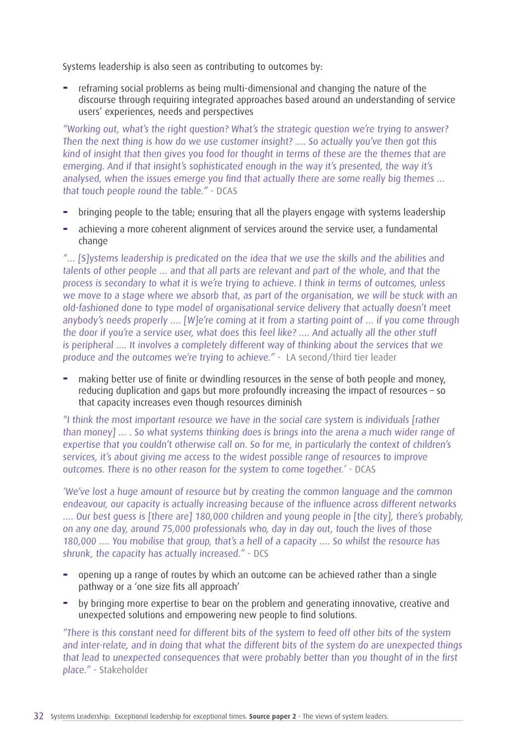Systems leadership is also seen as contributing to outcomes by:

**−** reframing social problems as being multi-dimensional and changing the nature of the discourse through requiring integrated approaches based around an understanding of service users' experiences, needs and perspectives

"Working out, what's the right question? What's the strategic question we're trying to answer? Then the next thing is how do we use customer insight? …. So actually you've then got this kind of insight that then gives you food for thought in terms of these are the themes that are emerging. And if that insight's sophisticated enough in the way it's presented, the way it's analysed, when the issues emerge you find that actually there are some really big themes … that touch people round the table." - DCAS

- **−** bringing people to the table; ensuring that all the players engage with systems leadership
- **−** achieving a more coherent alignment of services around the service user, a fundamental change

"… [S]ystems leadership is predicated on the idea that we use the skills and the abilities and talents of other people … and that all parts are relevant and part of the whole, and that the process is secondary to what it is we're trying to achieve. I think in terms of outcomes, unless we move to a stage where we absorb that, as part of the organisation, we will be stuck with an old-fashioned done to type model of organisational service delivery that actually doesn't meet anybody's needs properly …. [W]e're coming at it from a starting point of … if you come through the door if you're a service user, what does this feel like? .... And actually all the other stuff is peripheral …. It involves a completely different way of thinking about the services that we produce and the outcomes we're trying to achieve." - LA second/third tier leader

**−** making better use of finite or dwindling resources in the sense of both people and money, reducing duplication and gaps but more profoundly increasing the impact of resources – so that capacity increases even though resources diminish

"I think the most important resource we have in the social care system is individuals [rather than money] … . So what systems thinking does is brings into the arena a much wider range of expertise that you couldn't otherwise call on. So for me, in particularly the context of children's services, it's about giving me access to the widest possible range of resources to improve outcomes. There is no other reason for the system to come together.' - DCAS

'We've lost a huge amount of resource but by creating the common language and the common endeavour, our capacity is actually increasing because of the influence across different networks …. Our best guess is [there are] 180,000 children and young people in [the city], there's probably, on any one day, around 75,000 professionals who, day in day out, touch the lives of those 180,000 …. You mobilise that group, that's a hell of a capacity …. So whilst the resource has shrunk, the capacity has actually increased." - DCS

- **−** opening up a range of routes by which an outcome can be achieved rather than a single pathway or a 'one size fits all approach'
- **−** by bringing more expertise to bear on the problem and generating innovative, creative and unexpected solutions and empowering new people to find solutions.

"There is this constant need for different bits of the system to feed off other bits of the system and inter-relate, and in doing that what the different bits of the system do are unexpected things that lead to unexpected consequences that were probably better than you thought of in the first place." - Stakeholder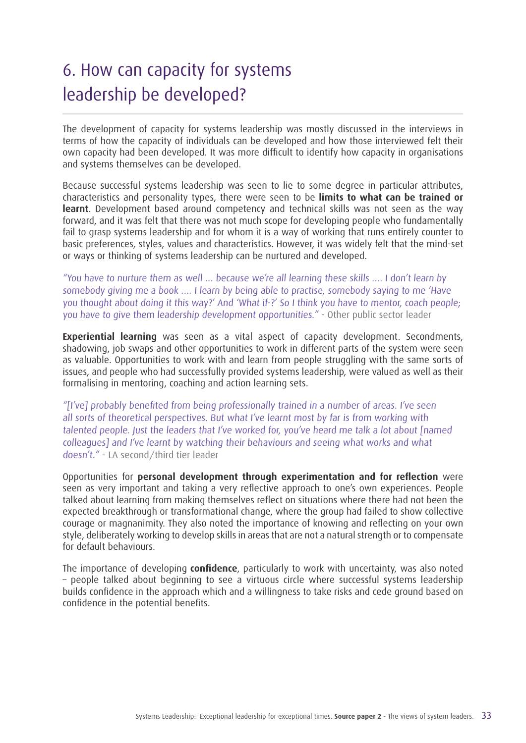## 6. How can capacity for systems leadership be developed?

The development of capacity for systems leadership was mostly discussed in the interviews in terms of how the capacity of individuals can be developed and how those interviewed felt their own capacity had been developed. It was more difficult to identify how capacity in organisations and systems themselves can be developed.

Because successful systems leadership was seen to lie to some degree in particular attributes, characteristics and personality types, there were seen to be **limits to what can be trained or learnt**. Development based around competency and technical skills was not seen as the way forward, and it was felt that there was not much scope for developing people who fundamentally fail to grasp systems leadership and for whom it is a way of working that runs entirely counter to basic preferences, styles, values and characteristics. However, it was widely felt that the mind-set or ways or thinking of systems leadership can be nurtured and developed.

"You have to nurture them as well … because we're all learning these skills …. I don't learn by somebody giving me a book …. I learn by being able to practise, somebody saying to me 'Have you thought about doing it this way?' And 'What if-?' So I think you have to mentor, coach people; you have to give them leadership development opportunities." - Other public sector leader

**Experiential learning** was seen as a vital aspect of capacity development. Secondments, shadowing, job swaps and other opportunities to work in different parts of the system were seen as valuable. Opportunities to work with and learn from people struggling with the same sorts of issues, and people who had successfully provided systems leadership, were valued as well as their formalising in mentoring, coaching and action learning sets.

"[I've] probably benefited from being professionally trained in a number of areas. I've seen all sorts of theoretical perspectives. But what I've learnt most by far is from working with talented people. Just the leaders that I've worked for, you've heard me talk a lot about [named colleagues] and I've learnt by watching their behaviours and seeing what works and what doesn't." - LA second/third tier leader

Opportunities for **personal development through experimentation and for reflection** were seen as very important and taking a very reflective approach to one's own experiences. People talked about learning from making themselves reflect on situations where there had not been the expected breakthrough or transformational change, where the group had failed to show collective courage or magnanimity. They also noted the importance of knowing and reflecting on your own style, deliberately working to develop skills in areas that are not a natural strength or to compensate for default behaviours.

The importance of developing **confidence**, particularly to work with uncertainty, was also noted – people talked about beginning to see a virtuous circle where successful systems leadership builds confidence in the approach which and a willingness to take risks and cede ground based on confidence in the potential benefits.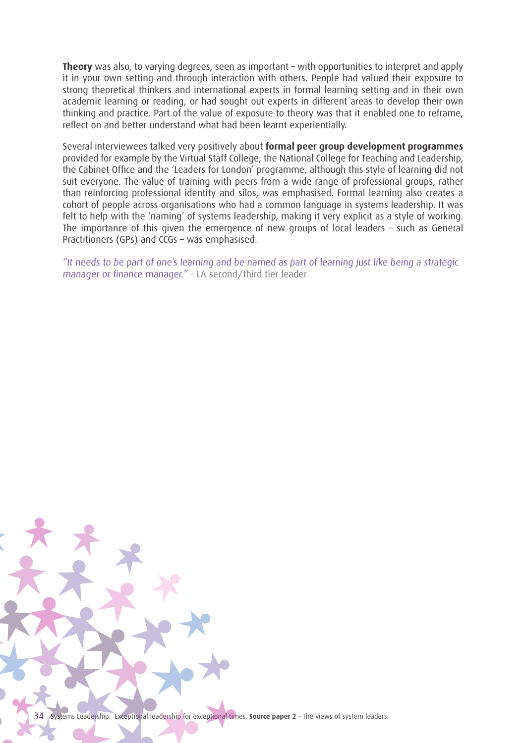**Theory** was also, to varying degrees, seen as important – with opportunities to interpret and apply it in your own setting and through interaction with others. People had valued their exposure to strong theoretical thinkers and international experts in formal learning setting and in their own academic learning or reading, or had sought out experts in different areas to develop their own thinking and practice. Part of the value of exposure to theory was that it enabled one to reframe, reflect on and better understand what had been learnt experientially.

Several interviewees talked very positively about **formal peer group development programmes**  provided for example by the Virtual Staff College, the National College for Teaching and Leadership, the Cabinet Office and the 'Leaders for London' programme, although this style of learning did not suit everyone. The value of training with peers from a wide range of professional groups, rather than reinforcing professional identity and silos, was emphasised. Formal learning also creates a cohort of people across organisations who had a common language in systems leadership. It was felt to help with the 'naming' of systems leadership, making it very explicit as a style of working. The importance of this given the emergence of new groups of local leaders – such as General Practitioners (GPs) and CCGs – was emphasised.

"It needs to be part of one's learning and be named as part of learning just like being a strategic manager or finance manager." - LA second/third tier leader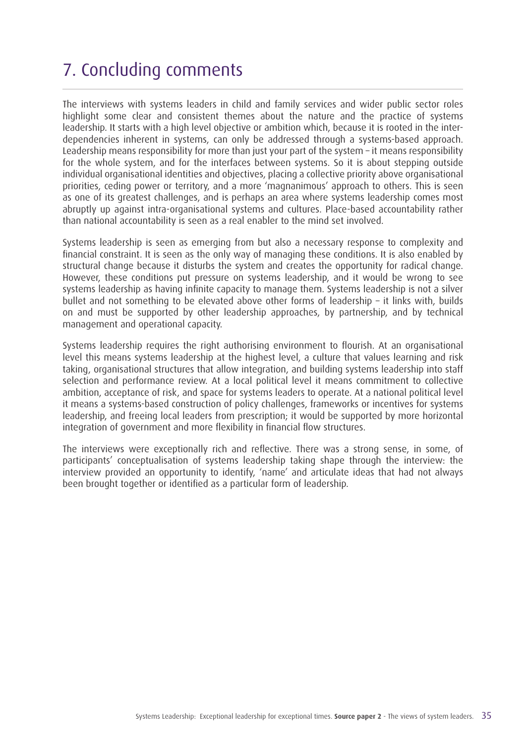## 7. Concluding comments

The interviews with systems leaders in child and family services and wider public sector roles highlight some clear and consistent themes about the nature and the practice of systems leadership. It starts with a high level objective or ambition which, because it is rooted in the interdependencies inherent in systems, can only be addressed through a systems-based approach. Leadership means responsibility for more than just your part of the system – it means responsibility for the whole system, and for the interfaces between systems. So it is about stepping outside individual organisational identities and objectives, placing a collective priority above organisational priorities, ceding power or territory, and a more 'magnanimous' approach to others. This is seen as one of its greatest challenges, and is perhaps an area where systems leadership comes most abruptly up against intra-organisational systems and cultures. Place-based accountability rather than national accountability is seen as a real enabler to the mind set involved.

Systems leadership is seen as emerging from but also a necessary response to complexity and financial constraint. It is seen as the only way of managing these conditions. It is also enabled by structural change because it disturbs the system and creates the opportunity for radical change. However, these conditions put pressure on systems leadership, and it would be wrong to see systems leadership as having infinite capacity to manage them. Systems leadership is not a silver bullet and not something to be elevated above other forms of leadership – it links with, builds on and must be supported by other leadership approaches, by partnership, and by technical management and operational capacity.

Systems leadership requires the right authorising environment to flourish. At an organisational level this means systems leadership at the highest level, a culture that values learning and risk taking, organisational structures that allow integration, and building systems leadership into staff selection and performance review. At a local political level it means commitment to collective ambition, acceptance of risk, and space for systems leaders to operate. At a national political level it means a systems-based construction of policy challenges, frameworks or incentives for systems leadership, and freeing local leaders from prescription; it would be supported by more horizontal integration of government and more flexibility in financial flow structures.

The interviews were exceptionally rich and reflective. There was a strong sense, in some, of participants' conceptualisation of systems leadership taking shape through the interview: the interview provided an opportunity to identify, 'name' and articulate ideas that had not always been brought together or identified as a particular form of leadership.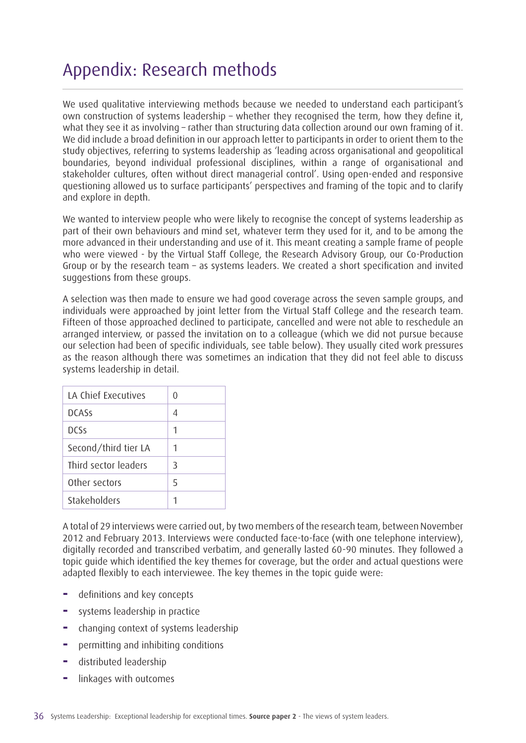## Appendix: Research methods

We used qualitative interviewing methods because we needed to understand each participant's own construction of systems leadership – whether they recognised the term, how they define it, what they see it as involving – rather than structuring data collection around our own framing of it. We did include a broad definition in our approach letter to participants in order to orient them to the study objectives, referring to systems leadership as 'leading across organisational and geopolitical boundaries, beyond individual professional disciplines, within a range of organisational and stakeholder cultures, often without direct managerial control'. Using open-ended and responsive questioning allowed us to surface participants' perspectives and framing of the topic and to clarify and explore in depth.

We wanted to interview people who were likely to recognise the concept of systems leadership as part of their own behaviours and mind set, whatever term they used for it, and to be among the more advanced in their understanding and use of it. This meant creating a sample frame of people who were viewed - by the Virtual Staff College, the Research Advisory Group, our Co-Production Group or by the research team – as systems leaders. We created a short specification and invited suggestions from these groups.

A selection was then made to ensure we had good coverage across the seven sample groups, and individuals were approached by joint letter from the Virtual Staff College and the research team. Fifteen of those approached declined to participate, cancelled and were not able to reschedule an arranged interview, or passed the invitation on to a colleague (which we did not pursue because our selection had been of specific individuals, see table below). They usually cited work pressures as the reason although there was sometimes an indication that they did not feel able to discuss systems leadership in detail.

| LA Chief Executives  |   |
|----------------------|---|
| <b>DCASS</b>         |   |
| nrss                 | 1 |
| Second/third tier LA | 1 |
| Third sector leaders | 3 |
| Other sectors        | 5 |
| Stakeholders         |   |

A total of 29 interviews were carried out, by two members of the research team, between November 2012 and February 2013. Interviews were conducted face-to-face (with one telephone interview), digitally recorded and transcribed verbatim, and generally lasted 60-90 minutes. They followed a topic guide which identified the key themes for coverage, but the order and actual questions were adapted flexibly to each interviewee. The key themes in the topic guide were:

- **−** definitions and key concepts
- **−** systems leadership in practice
- **−** changing context of systems leadership
- **−** permitting and inhibiting conditions
- **−** distributed leadership
- **−** linkages with outcomes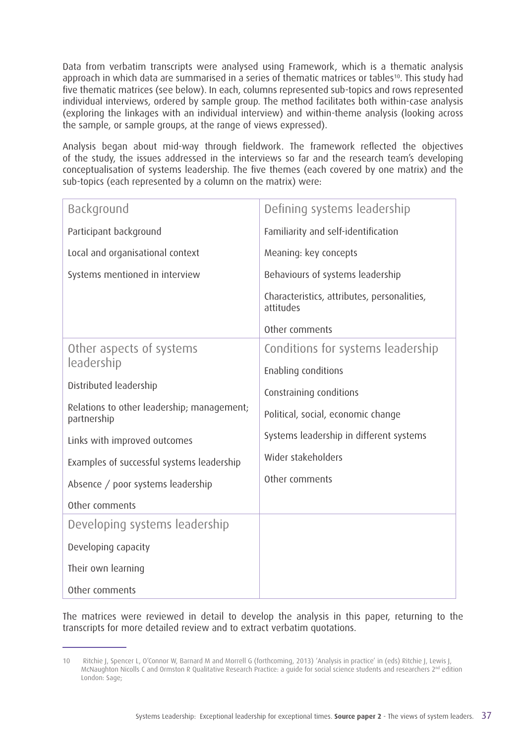Data from verbatim transcripts were analysed using Framework, which is a thematic analysis approach in which data are summarised in a series of thematic matrices or tables<sup>10</sup>. This study had five thematic matrices (see below). In each, columns represented sub-topics and rows represented individual interviews, ordered by sample group. The method facilitates both within-case analysis (exploring the linkages with an individual interview) and within-theme analysis (looking across the sample, or sample groups, at the range of views expressed).

Analysis began about mid-way through fieldwork. The framework reflected the objectives of the study, the issues addressed in the interviews so far and the research team's developing conceptualisation of systems leadership. The five themes (each covered by one matrix) and the sub-topics (each represented by a column on the matrix) were:

| Background                                                | Defining systems leadership                                                                         |  |
|-----------------------------------------------------------|-----------------------------------------------------------------------------------------------------|--|
| Participant background                                    | Familiarity and self-identification                                                                 |  |
| Local and organisational context                          | Meaning: key concepts                                                                               |  |
| Systems mentioned in interview                            | Behaviours of systems leadership                                                                    |  |
|                                                           | Characteristics, attributes, personalities,<br>attitudes                                            |  |
|                                                           | Other comments                                                                                      |  |
| Other aspects of systems                                  | Conditions for systems leadership                                                                   |  |
| leadership                                                | Enabling conditions                                                                                 |  |
| Distributed leadership                                    | Constraining conditions                                                                             |  |
| Relations to other leadership; management;<br>partnership | Political, social, economic change<br>Systems leadership in different systems<br>Wider stakeholders |  |
| Links with improved outcomes                              |                                                                                                     |  |
| Examples of successful systems leadership                 |                                                                                                     |  |
| Absence / poor systems leadership                         | Other comments                                                                                      |  |
| Other comments                                            |                                                                                                     |  |
| Developing systems leadership                             |                                                                                                     |  |
| Developing capacity                                       |                                                                                                     |  |
| Their own learning                                        |                                                                                                     |  |
| Other comments                                            |                                                                                                     |  |

The matrices were reviewed in detail to develop the analysis in this paper, returning to the transcripts for more detailed review and to extract verbatim quotations.

<sup>10</sup> Ritchie J, Spencer L, O'Connor W, Barnard M and Morrell G (forthcoming, 2013) 'Analysis in practice' in (eds) Ritchie J, Lewis J, McNaughton Nicolls C and Ormston R Qualitative Research Practice: a guide for social science students and researchers 2<sup>nd</sup> edition London: Sage;